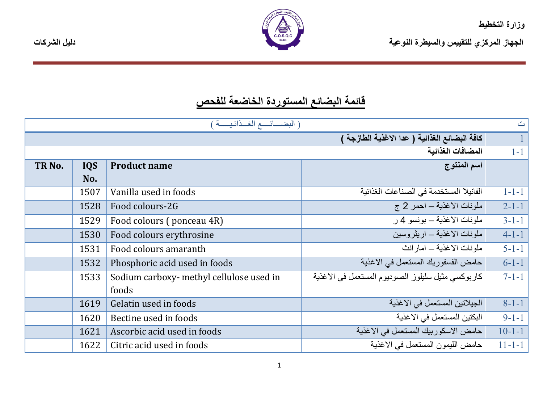

|  | دليل الشر كات |
|--|---------------|
|  |               |

## قائمة البضائع المستوردة الخاضعة للفحص

|                   |                                               | (البضائسع الغدائيسة)                     |                                                   | $\mathbb{C}^{\mathbb{N}}$ |
|-------------------|-----------------------------------------------|------------------------------------------|---------------------------------------------------|---------------------------|
|                   | كافة البضائع الغذائية ( عدا الاغذية الطارجة ) |                                          |                                                   |                           |
|                   | المضافات الغذائية                             |                                          |                                                   | $1 - 1$                   |
| TR <sub>No.</sub> | <b>IQS</b>                                    | <b>Product name</b>                      | اسم المنتوج                                       |                           |
|                   | No.                                           |                                          |                                                   |                           |
|                   | 1507                                          | Vanilla used in foods                    | الفانيلا المستخدمة في الصناعات الغذائية           | $1 - 1 - 1$               |
|                   | 1528                                          | Food colours-2G                          | ملونات الاغذية – احمر 2 ج                         | $2 - 1 - 1$               |
|                   | 1529                                          | Food colours (ponceau 4R)                | ملو نات الاغذية ــ بو نسو 4 ر                     | $3 - 1 - 1$               |
|                   | 1530                                          | Food colours erythrosine                 | ملونات الاغذية ــ اريثروسين                       | $4 - 1 - 1$               |
|                   | 1531                                          | Food colours amaranth                    | ملونات الاغذبة ــ امار انث                        | $5 - 1 - 1$               |
|                   | 1532                                          | Phosphoric acid used in foods            | حامض الفسفوريك المستعمل في الاغذية                | $6 - 1 - 1$               |
|                   | 1533                                          | Sodium carboxy- methyl cellulose used in | كاربوكسي مثيل سليلوز الصوديوم المستعمل في الاغذية | $7 - 1 - 1$               |
|                   |                                               | foods                                    |                                                   |                           |
|                   | 1619                                          | Gelatin used in foods                    | الجيلاتين المستعمل في الاغذية                     | $8 - 1 - 1$               |
|                   | 1620                                          | Bectine used in foods                    | البكتين المستعمل في الاغذية                       | $9 - 1 - 1$               |
|                   | 1621                                          | Ascorbic acid used in foods              | حامض الاسكوربيك المستعمل في الاغذية               | $10 - 1 - 1$              |
|                   | 1622                                          | Citric acid used in foods                | حامض الليمون المستعمل في الاغذية                  | $11 - 1 - 1$              |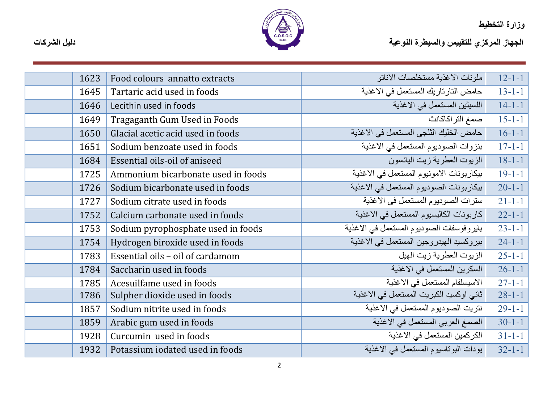

| 1623 | Food colours annatto extracts      | ملونات الاغذية مستخلصات الاناتو          | $12 - 1 - 1$ |
|------|------------------------------------|------------------------------------------|--------------|
| 1645 | Tartaric acid used in foods        | حامض التارتاريك المستعمل في الاغذية      | $13 - 1 - 1$ |
| 1646 | Lecithin used in foods             | اللسيثين المستعمل في الاغذية             | $14 - 1 - 1$ |
| 1649 | Tragaganth Gum Used in Foods       | صمغ التر اكاكانث                         | $15 - 1 - 1$ |
| 1650 | Glacial acetic acid used in foods  | حامض الخليك الثلجي المستعمل في الاغذية   | $16 - 1 - 1$ |
| 1651 | Sodium benzoate used in foods      | بنزوات الصوديوم المستعمل في الاغذية      | $17 - 1 - 1$ |
| 1684 | Essential oils-oil of aniseed      | الز يوت العطر ية ز يت اليانسو ن          | $18 - 1 - 1$ |
| 1725 | Ammonium bicarbonate used in foods | بيكاربونات الامونيوم المستعمل في الاغذية | $19 - 1 - 1$ |
| 1726 | Sodium bicarbonate used in foods   | بيكاربونات الصوديوم المستعمل في الاغذية  | $20 - 1 - 1$ |
| 1727 | Sodium citrate used in foods       | سترات الصوديوم المستعمل في الاغذية       | $21 - 1 - 1$ |
| 1752 | Calcium carbonate used in foods    | كاربونات الكاليسيوم المستعمل في الاغذية  | $22 - 1 - 1$ |
| 1753 | Sodium pyrophosphate used in foods | بايروفوسفات الصوديوم المستعمل في الاغذية | $23 - 1 - 1$ |
| 1754 | Hydrogen biroxide used in foods    | بيروكسيد الهيدروجين المستعمل في الاغذية  | $24 - 1 - 1$ |
| 1783 | Essential oils - oil of cardamom   | الزيوت العطرية زيت الهيل                 | $25 - 1 - 1$ |
| 1784 | Saccharin used in foods            | السكرين المستعمل في الاغذية              | $26 - 1 - 1$ |
| 1785 | Acesuilfame used in foods          | الاسيسلفام المستعمل في الاغذية           | $27 - 1 - 1$ |
| 1786 | Sulpher dioxide used in foods      | ثاني اوكسيد الكبريت المستعمل في الاغذية  | $28 - 1 - 1$ |
| 1857 | Sodium nitrite used in foods       | نتريت الصوديوم المستعمل في الاغذية       | $29 - 1 - 1$ |
| 1859 | Arabic gum used in foods           | الصمغ العربي المستعمل في الاغذية         | $30-1-1$     |
| 1928 | Curcumin used in foods             | الكركمين المستعمل في الاغذية             | $31 - 1 - 1$ |
| 1932 | Potassium iodated used in foods    | يودات البوناسيوم المستعمل في الاغذية     | $32 - 1 - 1$ |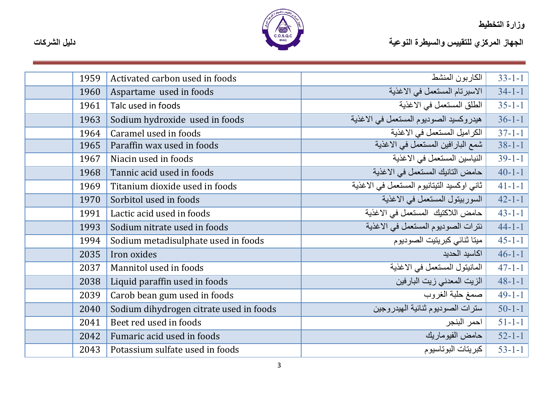

الجهاز المركزي للتقييس والسيطرة النوعية<br>الجهاز المركزي للتقييس والسيطرة النوعية

| 1959 | Activated carbon used in foods          | الكاربون المنشط                            | $33 - 1 - 1$ |
|------|-----------------------------------------|--------------------------------------------|--------------|
| 1960 | Aspartame used in foods                 | الاسبرتام المستعمل في الاغذية              | $34-1-1$     |
| 1961 | Talc used in foods                      | الطلق المستعمل في الاغذية                  | $35 - 1 - 1$ |
| 1963 | Sodium hydroxide used in foods          | هيدروكسيد الصوديوم المستعمل في الاغذية     | $36 - 1 - 1$ |
| 1964 | Caramel used in foods                   | الكراميل المستعمل في الاغذية               | $37 - 1 - 1$ |
| 1965 | Paraffin wax used in foods              | شمع البارافين المستعمل في الاغذية          | $38 - 1 - 1$ |
| 1967 | Niacin used in foods                    | النياسين المستعمل في الاغذية               | $39-1-1$     |
| 1968 | Tannic acid used in foods               | حامض التانيك المستعمل في الاغذية           | $40 - 1 - 1$ |
| 1969 | Titanium dioxide used in foods          | ثاني اوكسيد التيتانيوم المستعمل في الاغذية | $41 - 1 - 1$ |
| 1970 | Sorbitol used in foods                  | السوربيتول المستعمل في الاغذية             | $42 - 1 - 1$ |
| 1991 | Lactic acid used in foods               | حامض اللاكتيك المستعمل في الاغذية          | $43 - 1 - 1$ |
| 1993 | Sodium nitrate used in foods            | نترات الصوديوم المستعمل في الاغذية         | $44 - 1 - 1$ |
| 1994 | Sodium metadisulphate used in foods     | ميتا ثنائي كبريتيت الصوديوم                | $45 - 1 - 1$ |
| 2035 | Iron oxides                             | اكاسيد الحديد                              | $46 - 1 - 1$ |
| 2037 | Mannitol used in foods                  | المانيتول المستعمل في الاغذية              | $47 - 1 - 1$ |
| 2038 | Liquid paraffin used in foods           | الزيت المعدني زيت البارفين                 | $48 - 1 - 1$ |
| 2039 | Carob bean gum used in foods            | صمغ حلبة الغروب                            | $49-1-1$     |
| 2040 | Sodium dihydrogen citrate used in foods | سنرات الصوديوم ثنائية الهيدروجين           | $50 - 1 - 1$ |
| 2041 | Beet red used in foods                  | احمر البنجر                                | $51 - 1 - 1$ |
| 2042 | Fumaric acid used in foods              | حامض الفيوماريك                            | $52 - 1 - 1$ |
| 2043 | Potassium sulfate used in foods         | كبريتات البوتاسيوم                         | $53 - 1 - 1$ |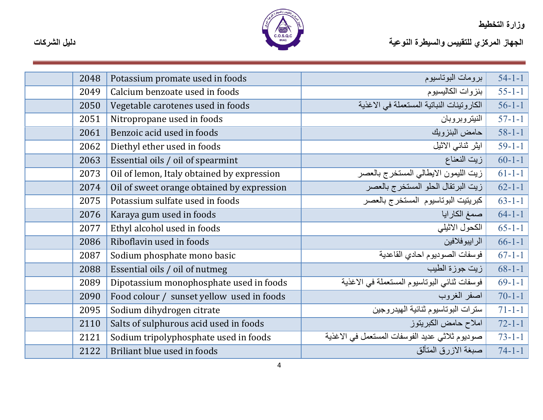

| 2048 | Potassium promate used in foods            | برومات البوتاسيوم                              | $54 - 1 - 1$ |
|------|--------------------------------------------|------------------------------------------------|--------------|
| 2049 | Calcium benzoate used in foods             | بنزوات الكاليسيوم                              | $55 - 1 - 1$ |
| 2050 | Vegetable carotenes used in foods          | الكاروتينات النباتية المستعملة في الاغذية      | $56 - 1 - 1$ |
| 2051 | Nitropropane used in foods                 | النيتروبروبان                                  | $57-1-1$     |
| 2061 | Benzoic acid used in foods                 | حامض البنزويك                                  | $58 - 1 - 1$ |
| 2062 | Diethyl ether used in foods                | ايثر ثنائي الاثيل                              | $59-1-1$     |
| 2063 | Essential oils / oil of spearmint          | زيت النعناع                                    | $60-1-1$     |
| 2073 | Oil of lemon, Italy obtained by expression | زيت الليمون الايطالي المستخرج بالعصر           | $61 - 1 - 1$ |
| 2074 | Oil of sweet orange obtained by expression | زيت البرتقال الحلو المستخرج بالعصر             | $62 - 1 - 1$ |
| 2075 | Potassium sulfate used in foods            | كبريتيت البوتاسيوم المستخرج بالعصر             | $63 - 1 - 1$ |
| 2076 | Karaya gum used in foods                   | صمغ الكار ايا                                  | $64 - 1 - 1$ |
| 2077 | Ethyl alcohol used in foods                | الكحول الاثيلي                                 | $65 - 1 - 1$ |
| 2086 | Riboflavin used in foods                   | الرايبوفلافين                                  | $66-1-1$     |
| 2087 | Sodium phosphate mono basic                | فوسفات الصوديوم احادي القاعدية                 | $67 - 1 - 1$ |
| 2088 | Essential oils / oil of nutmeg             | زيت جوزة الطيب                                 | $68 - 1 - 1$ |
| 2089 | Dipotassium monophosphate used in foods    | فوسفات تنائي البوتاسيوم المستعملة في الاغذية   | $69-1-1$     |
| 2090 | Food colour / sunset yellow used in foods  | اصفر الغروب                                    | $70 - 1 - 1$ |
| 2095 | Sodium dihydrogen citrate                  | سنرات البوتاسيوم ثنائية الهيدروجين             | $71 - 1 - 1$ |
| 2110 | Salts of sulphurous acid used in foods     | املاح حامض الكبريتوز                           | $72 - 1 - 1$ |
| 2121 | Sodium tripolyphosphate used in foods      | صوديوم ثلاثي عديد الفوسفات المستعمل في الاغذية | $73 - 1 - 1$ |
| 2122 | Briliant blue used in foods                | صبغة الاز ر ق المتألق                          | $74 - 1 - 1$ |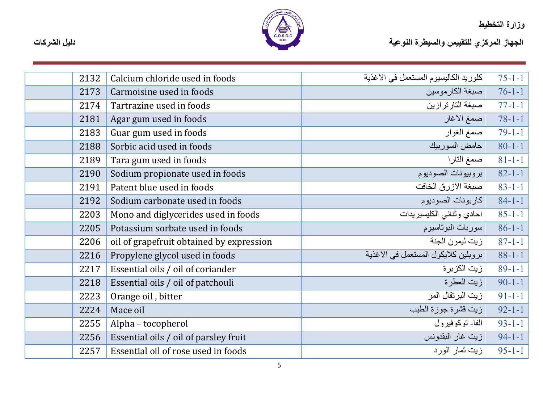

الجهاز المركزي للتقييس والسيطرة النوعية<br>الجهاز المركزي للتقييس والسيطرة النوعية

| 2132 | Calcium chloride used in foods           | كلوريد الكاليسيوم المستعمل في الاغذية | $75 - 1 - 1$ |
|------|------------------------------------------|---------------------------------------|--------------|
| 2173 | Carmoisine used in foods                 | صبغة الكارموسين                       | $76 - 1 - 1$ |
| 2174 | Tartrazine used in foods                 | صبغة التارتر ازين                     | $77-1-1$     |
| 2181 | Agar gum used in foods                   | صمغ الاغار                            | $78 - 1 - 1$ |
| 2183 | Guar gum used in foods                   | صمغ الغوار                            | $79-1-1$     |
| 2188 | Sorbic acid used in foods                | حامض السوربيك                         | $80 - 1 - 1$ |
| 2189 | Tara gum used in foods                   | صمغ التارا                            | $81 - 1 - 1$ |
| 2190 | Sodium propionate used in foods          | بروبيونات الصوديوم                    | $82 - 1 - 1$ |
| 2191 | Patent blue used in foods                | صبغة الازرق الخافت                    | $83 - 1 - 1$ |
| 2192 | Sodium carbonate used in foods           | كاربونات الصوديوم                     | $84 - 1 - 1$ |
| 2203 | Mono and diglycerides used in foods      | احادي وثنائي الكليسيريدات             | $85 - 1 - 1$ |
| 2205 | Potassium sorbate used in foods          | سوربات البوتاسيوم                     | $86-1-1$     |
| 2206 | oil of grapefruit obtained by expression | زيت ليمون الجنة                       | $87 - 1 - 1$ |
| 2216 | Propylene glycol used in foods           | بروبلين كلايكول المستعمل في الاغذية   | $88 - 1 - 1$ |
| 2217 | Essential oils / oil of coriander        | زيت الكزبرة                           | $89-1-1$     |
| 2218 | Essential oils / oil of patchouli        | ريت العطرة                            | $90 - 1 - 1$ |
| 2223 | Orange oil, bitter                       | زيت البرتقال المر                     | $91 - 1 - 1$ |
| 2224 | Mace oil                                 | ريت قشرة جوزة الطيب                   | $92 - 1 - 1$ |
| 2255 | Alpha - tocopherol                       | الفا- توكوفيرول                       | $93 - 1 - 1$ |
| 2256 | Essential oils / oil of parsley fruit    | زيت غار البقدونس                      | $94 - 1 - 1$ |
| 2257 | Essential oil of rose used in foods      | زيت ثمار الوړد                        | $95 - 1 - 1$ |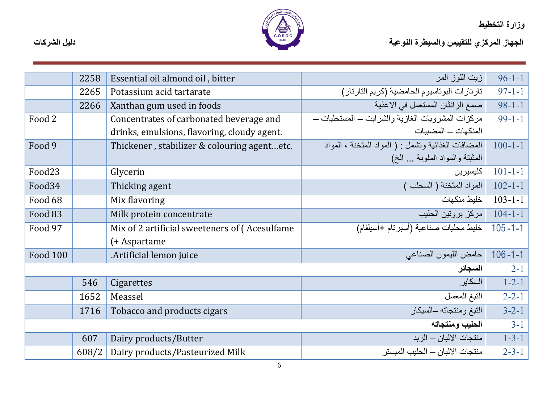

ور <sub>ا</sub>ره المحصيصة<br>الجهاز المركزي للتقييس والسيطرة النوعية

|                 | 2258  | Essential oil almond oil, bitter               | زيت اللوز المر                                      | $96 - 1 - 1$  |
|-----------------|-------|------------------------------------------------|-----------------------------------------------------|---------------|
|                 | 2265  | Potassium acid tartarate                       | تارتارات البوتاسيوم الحامضية (كريم التارتار)        | $97 - 1 - 1$  |
|                 | 2266  | Xanthan gum used in foods                      | صمغ الزانثان المستعمل في الاغذية                    | $98 - 1 - 1$  |
| Food 2          |       | Concentrates of carbonated beverage and        | مركزات المشروبات الغازية والشرابت ــ المستحلبات ــ  | $99-1-1$      |
|                 |       | drinks, emulsions, flavoring, cloudy agent.    | المنكهات – المضببات                                 |               |
| Food 9          |       | Thickener, stabilizer & colouring agentetc.    | المضافات الغذائية وتشمل : ( المواد المثخنة ، المواد | $100 - 1 - 1$ |
|                 |       |                                                | المثبتة والمواد الملونة … الخ)                      |               |
| Food23          |       | Glycerin                                       | كليسيرين                                            | $101 - 1 - 1$ |
| Food34          |       | Thicking agent                                 | المواد المثخنة ( السحلب )                           | $102 - 1 - 1$ |
| Food 68         |       | Mix flavoring                                  | خليط منكهات                                         | $103 - 1 - 1$ |
| Food 83         |       | Milk protein concentrate                       | مركز بروتين الحليب                                  | $104 - 1 - 1$ |
| Food 97         |       | Mix of 2 artificial sweeteners of (Acesulfame) | خليط محليات صناعية (أسبرتام +أسيلفام)               | $105 - 1 - 1$ |
|                 |       | (+ Aspartame                                   |                                                     |               |
| <b>Food 100</b> |       | .Artificial lemon juice                        | حامض الليمون الصناعي                                | $106 - 1 - 1$ |
|                 |       |                                                | السجائر                                             | $2 - 1$       |
|                 | 546   | Cigarettes                                     | السكاير                                             | $1 - 2 - 1$   |
|                 | 1652  | Meassel                                        | التبغ المعسل                                        | $2 - 2 - 1$   |
|                 | 1716  | Tobacco and products cigars                    | التبغ ومنتجاته –السيكار                             | $3 - 2 - 1$   |
|                 |       |                                                | الحليب ومنتجاته                                     | $3-1$         |
|                 | 607   | Dairy products/Butter                          | منتجات الالبان — الزبد                              | $1 - 3 - 1$   |
|                 | 608/2 | Dairy products/Pasteurized Milk                | منتجات الالبان — الحليب المبستر                     | $2 - 3 - 1$   |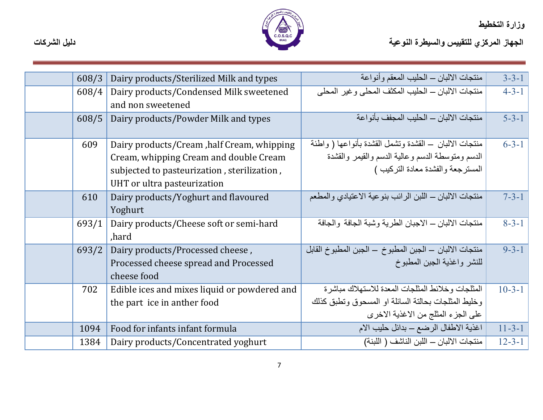

الجهاز المركزي للتقييس والسيطرة النوعية<br>الجهاز المركزي للتقييس والسيطرة النوعية

| 608/3 | Dairy products/Sterilized Milk and types     | منتجات الالبان ــ الحليب المعقم وأنواعة                  | $3 - 3 - 1$  |
|-------|----------------------------------------------|----------------------------------------------------------|--------------|
| 608/4 | Dairy products/Condensed Milk sweetened      | منتجات الالبان ــ الحليب المكثف المحلي وغير المحلي       | $4 - 3 - 1$  |
|       | and non sweetened                            |                                                          |              |
| 608/5 | Dairy products/Powder Milk and types         | منتجات الالبان — الحليب المجفف بأنو اعة                  | $5 - 3 - 1$  |
|       |                                              |                                                          |              |
| 609   | Dairy products/Cream, half Cream, whipping   | منتجات الالبان – القشدة وتشمل القشدة بأنواعها ( واطئة    | $6 - 3 - 1$  |
|       | Cream, whipping Cream and double Cream       | الدسم ومنوسطة الدسم وعالية الدسم والقيمر والقشدة         |              |
|       | subjected to pasteurization, sterilization,  | المسترجعة والفشدة معادة التركيب )                        |              |
|       | UHT or ultra pasteurization                  |                                                          |              |
| 610   | Dairy products/Yoghurt and flavoured         | منتجات الالبان ـــ اللبن الرائب بنوعية الاعتيادي والمطعم | $7 - 3 - 1$  |
|       | Yoghurt                                      |                                                          |              |
| 693/1 | Dairy products/Cheese soft or semi-hard      | منتجات الالبان ــ الاجبان الطرية وشبة الجافة والجافة     | $8 - 3 - 1$  |
|       | ,hard                                        |                                                          |              |
| 693/2 | Dairy products/Processed cheese,             | منتجات الالبان — الجبن المطبوخ — الجبن المطبوخ القابل    | $9 - 3 - 1$  |
|       | Processed cheese spread and Processed        | للنشر واغذية الجبن المطبوخ                               |              |
|       | cheese food                                  |                                                          |              |
| 702   | Edible ices and mixes liquid or powdered and | المثلجات وخلائط المثلجات المعدة للاستهلاك مباشرة         | $10 - 3 - 1$ |
|       | the part ice in anther food                  | وخليط المثلجات بحالتة السائلة او المسحوق وتطبق كذلك      |              |
|       |                                              | على الجزء المثلج من الاغذية الاخرى                       |              |
| 1094  | Food for infants infant formula              | اغذية الاطفال الرضع – بدائل حليب الام                    | $11 - 3 - 1$ |
| 1384  | Dairy products/Concentrated yoghurt          | منتجات الالبان — اللبن الناشف ( اللبنة)                  | $12 - 3 - 1$ |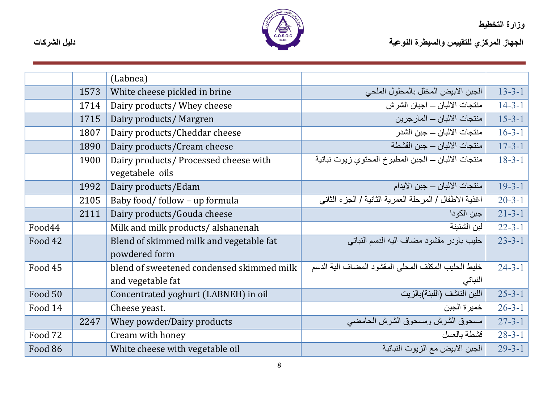

|         |      | (Labnea)                                                 |                                                        |              |
|---------|------|----------------------------------------------------------|--------------------------------------------------------|--------------|
|         | 1573 | White cheese pickled in brine                            | الجبن الابيض المخلل بالمحلول الملحى                    | $13 - 3 - 1$ |
|         | 1714 | Dairy products/ Whey cheese                              | منتجات الالبان ـــ اجبان الشرش                         | $14 - 3 - 1$ |
|         | 1715 | Dairy products/ Margren                                  | منتجات الالبان – المار جرين                            | $15 - 3 - 1$ |
|         | 1807 | Dairy products/Cheddar cheese                            | منتجات الالبان — جبن الشدر                             | $16 - 3 - 1$ |
|         | 1890 | Dairy products/Cream cheese                              | منتجات الالبان – جبن القشطة                            | $17 - 3 - 1$ |
|         | 1900 | Dairy products/ Processed cheese with<br>vegetabele oils | منتجات الالبان ــ الجبن المطبوخ المحتوى زيوت نباتية    | $18 - 3 - 1$ |
|         | 1992 | Dairy products/Edam                                      | منتجات الالبان — جبن الايدام                           | $19 - 3 - 1$ |
|         | 2105 | Baby food/follow - up formula                            | اغذية الاطفال / المرحلة العمرية الثانية / الجزء الثاني | $20 - 3 - 1$ |
|         | 2111 | Dairy products/Gouda cheese                              | جبن الكودا                                             | $21 - 3 - 1$ |
| Food44  |      | Milk and milk products/alshanenah                        | لبن الشنينة                                            | $22 - 3 - 1$ |
| Food 42 |      | Blend of skimmed milk and vegetable fat<br>powdered form | حليب باودر مقشود مضاف اليه الدسم النباتي               | $23 - 3 - 1$ |
| Food 45 |      | blend of sweetened condensed skimmed milk                | خليط الحليب المكثف المحلى المقشود المضباف الية الدسم   | $24 - 3 - 1$ |
|         |      | and vegetable fat                                        | النباتي                                                |              |
| Food 50 |      | Concentrated yoghurt (LABNEH) in oil                     | اللبن الناشف (اللبنة)بالزيت                            | $25 - 3 - 1$ |
| Food 14 |      | Cheese yeast.                                            | خمير ة الجبن                                           | $26 - 3 - 1$ |
|         | 2247 | Whey powder/Dairy products                               | مسحوق الشرش ومسحوق الشرش الحامضي                       | $27 - 3 - 1$ |
| Food 72 |      | Cream with honey                                         | قشطة بالعسل                                            | $28 - 3 - 1$ |
| Food 86 |      | White cheese with vegetable oil                          | الجبن الابيض مع الزيوت النباتية                        | $29 - 3 - 1$ |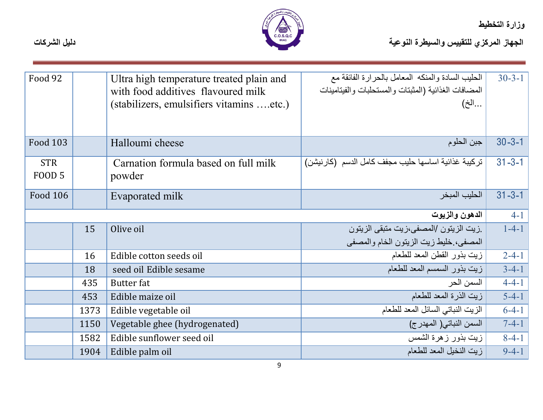

ور <sub>ا</sub>ره المحصيصة<br>الجهاز المركزي للتقييس والسيطرة النوعية

| Food 92         |      | Ultra high temperature treated plain and | الحليب السادة والمنكه المعامل بالحرارة الفائقة مع    | $30 - 3 - 1$ |
|-----------------|------|------------------------------------------|------------------------------------------------------|--------------|
|                 |      | with food additives flavoured milk       | المضافات الغذائية (المثبتات والمستحلبات والفيتامينات |              |
|                 |      | (stabilizers, emulsifiers vitamins etc.) | الخ)                                                 |              |
|                 |      |                                          |                                                      |              |
|                 |      |                                          |                                                      |              |
|                 |      |                                          |                                                      |              |
| Food 103        |      | Halloumi cheese                          | جبن الحلوم                                           | $30 - 3 - 1$ |
|                 |      |                                          |                                                      |              |
| <b>STR</b>      |      | Carnation formula based on full milk     | تركيبة غذائية اساسها حليب مجفف كامل الدسم (كارنيشن)  | $31 - 3 - 1$ |
| <b>FOOD 5</b>   |      | powder                                   |                                                      |              |
|                 |      |                                          |                                                      |              |
| <b>Food 106</b> |      | Evaporated milk                          | الحليب المبخر                                        | $31 - 3 - 1$ |
|                 |      |                                          |                                                      | $4 - 1$      |
|                 |      |                                          | الدهون والزيوت                                       |              |
|                 | 15   | Olive oil                                | زيت الزيتون /المصفى،زيت متبقى الزيتون                | $1-4-1$      |
|                 |      |                                          | المصفى، خليط زيت الزيتون الخام والمصفى               |              |
|                 | 16   | Edible cotton seeds oil                  | زيت بذور القطن المعد للطعام                          | $2 - 4 - 1$  |
|                 | 18   | seed oil Edible sesame                   | زيت بذور السمسم المعد للطعام                         | $3-4-1$      |
|                 | 435  | <b>Butter</b> fat                        | السمن الحر                                           | $4 - 4 - 1$  |
|                 | 453  | Edible maize oil                         | زيت الذرة المعد للطعام                               | $5 - 4 - 1$  |
|                 | 1373 | Edible vegetable oil                     | الزيت النباتي السائل المعد للطعام                    | $6-4-1$      |
|                 | 1150 | Vegetable ghee (hydrogenated)            | السمن النباتي( المهدرج)                              | $7 - 4 - 1$  |
|                 | 1582 | Edible sunflower seed oil                | زيت بذور زهرة الشمس                                  | $8 - 4 - 1$  |
|                 | 1904 | Edible palm oil                          | زيت النخيل المعد للطعام                              | $9-4-1$      |

9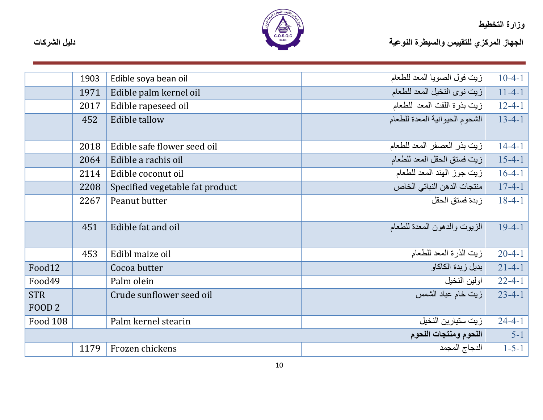

|                                 | 1903 | Edible soya bean oil            | زيت فول الصويا المعد للطعام    | $10-4-1$     |
|---------------------------------|------|---------------------------------|--------------------------------|--------------|
|                                 | 1971 | Edible palm kernel oil          | زيت نوى النخيل المعد للطعام    | $11 - 4 - 1$ |
|                                 | 2017 | Edible rapeseed oil             | زيت بذرة اللفت المعد للطعام    | $12 - 4 - 1$ |
|                                 | 452  | <b>Edible tallow</b>            | الشحوم الحيوانية المعدة للطعام | $13 - 4 - 1$ |
|                                 | 2018 | Edible safe flower seed oil     | زيت بذر العصفر المعد للطعام    | $14 - 4 - 1$ |
|                                 | 2064 | Edible a rachis oil             | زيت فستق الحقل المعد للطعام    | $15 - 4 - 1$ |
|                                 | 2114 | Edible coconut oil              | زيت جوز الهند المعد للطعام     | $16-4-1$     |
|                                 | 2208 | Specified vegetable fat product | منتجات الدهن النباتي الخاص     | $17 - 4 - 1$ |
|                                 | 2267 | Peanut butter                   | زبدة فستق الحقل                | $18 - 4 - 1$ |
|                                 | 451  | Edible fat and oil              | الزيوت والدهون المعدة للطعام   | $19-4-1$     |
|                                 | 453  | Edibl maize oil                 | زيت الذرة المعد للطعام         | $20 - 4 - 1$ |
| Food12                          |      | Cocoa butter                    | بديل زبدة الكاكاو              | $21-4-1$     |
| Food49                          |      | Palm olein                      | اولين النخيل                   | $22 - 4 - 1$ |
| <b>STR</b><br>FOOD <sub>2</sub> |      | Crude sunflower seed oil        | زيت خام عباد الشمس             | $23 - 4 - 1$ |
| <b>Food 108</b>                 |      | Palm kernel stearin             | زيت ستيارين النخيل             | $24 - 4 - 1$ |
|                                 |      |                                 | اللحوم ومنتجات اللحوم          | $5-1$        |
|                                 | 1179 | Frozen chickens                 | الدجاج المجمد                  | $1 - 5 - 1$  |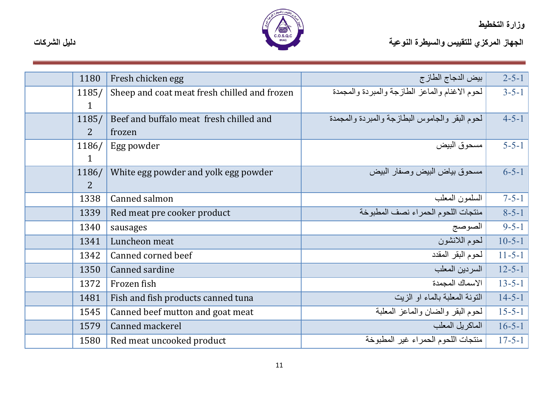

| 1180           | Fresh chicken egg                            | بيض الدجاج الطاز ج                             | $2 - 5 - 1$  |
|----------------|----------------------------------------------|------------------------------------------------|--------------|
| 1185/          | Sheep and coat meat fresh chilled and frozen | لحوم الاغنام والماعز الطازجة والمبردة والمجمدة | $3 - 5 - 1$  |
| $\mathbf{1}$   |                                              |                                                |              |
| 1185/          | Beef and buffalo meat fresh chilled and      | لحوم البقر والجاموس البطازجة والمبردة والمجمدة | $4 - 5 - 1$  |
| $\overline{2}$ | frozen                                       |                                                |              |
| 1186/          | Egg powder                                   | مسحوق البيض                                    | $5 - 5 - 1$  |
| $\mathbf{1}$   |                                              |                                                |              |
| 1186/          | White egg powder and yolk egg powder         | مسحوق بياض البيض وصفار البيض                   | $6 - 5 - 1$  |
| $\overline{2}$ |                                              |                                                |              |
| 1338           | Canned salmon                                | السلمون المعلب                                 | $7 - 5 - 1$  |
| 1339           | Red meat pre cooker product                  | منتجات اللحوم الحمراء نصف المطبوخة             | $8 - 5 - 1$  |
| 1340           | sausages                                     | الصوصج                                         | $9 - 5 - 1$  |
| 1341           | Luncheon meat                                | لحوم اللانشون                                  | $10 - 5 - 1$ |
| 1342           | Canned corned beef                           | لحوم البقر المقدد                              | $11 - 5 - 1$ |
| 1350           | Canned sardine                               | السردين المعلب                                 | $12 - 5 - 1$ |
| 1372           | Frozen fish                                  | الاسماك المجمدة                                | $13 - 5 - 1$ |
| 1481           | Fish and fish products canned tuna           | النونة المعلبة بالماء او الزيت                 | $14 - 5 - 1$ |
| 1545           | Canned beef mutton and goat meat             | لحوم البقر والضان والماعز المعلبة              | $15 - 5 - 1$ |
| 1579           | Canned mackerel                              | الماكريل المعلب                                | $16 - 5 - 1$ |
| 1580           | Red meat uncooked product                    | منتجات اللحوم الحمراء غير المطبوخة             | $17 - 5 - 1$ |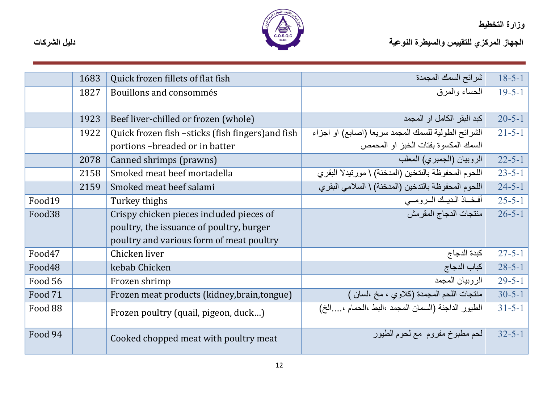

|                    | 1683 | Quick frozen fillets of flat fish                 | شرائح السمك المجمدة                                  | $18 - 5 - 1$ |
|--------------------|------|---------------------------------------------------|------------------------------------------------------|--------------|
|                    | 1827 | Bouillons and consommés                           | المحساء والمعرق                                      | $19 - 5 - 1$ |
|                    |      |                                                   |                                                      |              |
|                    | 1923 | Beef liver-chilled or frozen (whole)              | كبد البقر الكامل او المجمد                           | $20 - 5 - 1$ |
|                    | 1922 | Quick frozen fish -sticks (fish fingers) and fish | الشرائح الطولية للسمك المجمد سريعا (اصابع) او اجزاء  | $21 - 5 - 1$ |
|                    |      | portions-breaded or in batter                     | السمك المكسوة بفتات الخبز او المحمص                  |              |
|                    | 2078 | Canned shrimps (prawns)                           | الروبيان (الجمبري) المعلب                            | $22 - 5 - 1$ |
|                    | 2158 | Smoked meat beef mortadella                       | اللحوم المحفوظة بالنتخين (المدخنة) \ مورنيدلا البقرى | $23 - 5 - 1$ |
|                    | 2159 | Smoked meat beef salami                           | اللحوم المحفوظة بالتدخين (المدخنة) \ السلامي البقري  | $24 - 5 - 1$ |
| Food19             |      | Turkey thighs                                     | أفخاذ الديلك الرومي                                  | $25 - 5 - 1$ |
| Food <sub>38</sub> |      | Crispy chicken pieces included pieces of          | منتجات الدجاج المقرمش                                | $26 - 5 - 1$ |
|                    |      | poultry, the issuance of poultry, burger          |                                                      |              |
|                    |      | poultry and various form of meat poultry          |                                                      |              |
| Food47             |      | Chicken liver                                     | كبدة الدجاج                                          | $27 - 5 - 1$ |
| Food48             |      | kebab Chicken                                     | كباب الدجاج                                          | $28 - 5 - 1$ |
| Food 56            |      | Frozen shrimp                                     | الر وبيان المجمد                                     | $29 - 5 - 1$ |
| Food 71            |      | Frozen meat products (kidney, brain, tongue)      | منتجات اللحم المجمدة (كلاوي ، مخ ،لسان )             | $30 - 5 - 1$ |
| Food 88            |      | Frozen poultry (quail, pigeon, duck)              | الطيور الداجنة (السمان المجمد ،البط ،الحمام ،الخ)    | $31 - 5 - 1$ |
|                    |      |                                                   |                                                      |              |
| Food 94            |      | Cooked chopped meat with poultry meat             | لحم مطبوخ مفروم ًمع لحوم الطيور                      | $32 - 5 - 1$ |
|                    |      |                                                   |                                                      |              |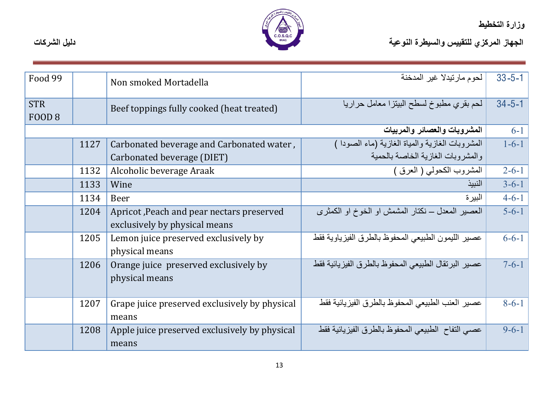

الجهاز المركزي للتقييس والسيطرة النوعية<br>الجهاز المركزي للتقييس والسيطرة النوعية

| Food 99                         |      | Non smoked Mortadella                                                      | لحوم مارتيدلا غير المدخنة                           | $33 - 5 - 1$ |
|---------------------------------|------|----------------------------------------------------------------------------|-----------------------------------------------------|--------------|
| <b>STR</b><br>FOOD <sub>8</sub> |      | Beef toppings fully cooked (heat treated)                                  | لحم بقرى مطبوخ لسطح البيتزا معامل حراريا            | $34 - 5 - 1$ |
|                                 |      |                                                                            | المشروبات والعصائر والمربيات                        | $6 - 1$      |
|                                 | 1127 | Carbonated beverage and Carbonated water,                                  | المشروبات الغازية والمياة الغازية (ماء الصودا )     | $1 - 6 - 1$  |
|                                 |      | Carbonated beverage (DIET)                                                 | والمشروبات الغازية الخاصة بالحمية                   |              |
|                                 | 1132 | Alcoholic beverage Araak                                                   | المشروب الكحولمي ( العرق )                          | $2 - 6 - 1$  |
|                                 | 1133 | Wine                                                                       | النبيذ                                              | $3 - 6 - 1$  |
|                                 | 1134 | Beer                                                                       | البير ۃ                                             | $4 - 6 - 1$  |
|                                 | 1204 | Apricot, Peach and pear nectars preserved<br>exclusively by physical means | العصبر المعدل ــ نكتار المشمش او الخوخ او الكمثرى   | $5 - 6 - 1$  |
|                                 | 1205 | Lemon juice preserved exclusively by<br>physical means                     | عصبير الليمون الطبيعي المحفوظ بالطرق الفيزياوية فقط | $6 - 6 - 1$  |
|                                 | 1206 | Orange juice preserved exclusively by<br>physical means                    | عصبر البرنقال الطبيعي المحفوظ بالطرق الفيزيائية فقط | $7 - 6 - 1$  |
|                                 | 1207 | Grape juice preserved exclusively by physical<br>means                     | عصبر العنب الطبيعي المحفوظ بالطرق الفيز يائية فقط   | $8 - 6 - 1$  |
|                                 | 1208 | Apple juice preserved exclusively by physical<br>means                     | عصبي التفاح الطبيعي المحفوظ بالطرق الفيزيائية فقط   | $9 - 6 - 1$  |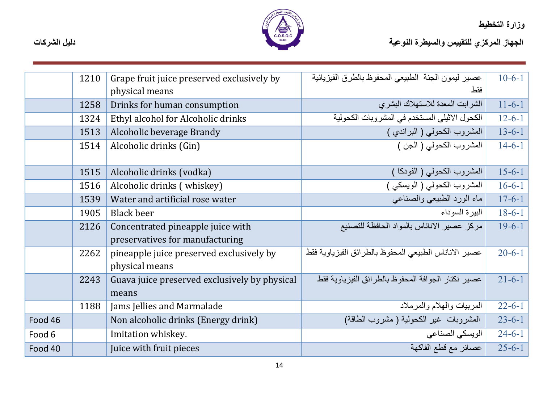

|         | 1210 | Grape fruit juice preserved exclusively by    | عصبر ليمون الجنة الطبيعي المحفوظ بالطرق الفيزيائية     | $10-6-1$     |
|---------|------|-----------------------------------------------|--------------------------------------------------------|--------------|
|         |      | physical means                                | فقط                                                    |              |
|         | 1258 | Drinks for human consumption                  | الشرابت المعدة للاستهلاك البشرى                        | $11 - 6 - 1$ |
|         | 1324 | Ethyl alcohol for Alcoholic drinks            | الكحول الاثيلي المستخدم في المشروبات الكحولية          | $12 - 6 - 1$ |
|         | 1513 | Alcoholic beverage Brandy                     | المشروب الكحولي ( البراندي )                           | $13 - 6 - 1$ |
|         | 1514 | Alcoholic drinks (Gin)                        | المشروب الكحولي ( الجن )                               | $14 - 6 - 1$ |
|         |      |                                               |                                                        |              |
|         | 1515 | Alcoholic drinks (vodka)                      | المشروب الكحولي ( الفودكا )                            | $15 - 6 - 1$ |
|         | 1516 | Alcoholic drinks (whiskey)                    | المشروب الكحولي ( الويسكي )                            | $16-6-1$     |
|         | 1539 | Water and artificial rose water               | ماء الورد الطبيعي والصناعي                             | $17 - 6 - 1$ |
|         | 1905 | <b>Black beer</b>                             | البيرة السوداء                                         | $18 - 6 - 1$ |
|         | 2126 | Concentrated pineapple juice with             | مركز عصبر الاناناس بالمواد الحافظة للتصنيع             | $19 - 6 - 1$ |
|         |      | preservatives for manufacturing               |                                                        |              |
|         | 2262 | pineapple juice preserved exclusively by      | عصبير الاناناس الطبيعي المحفوظ بالطرائق الفيزياوية فقط | $20 - 6 - 1$ |
|         |      | physical means                                |                                                        |              |
|         | 2243 | Guava juice preserved exclusively by physical | عصبير نكتار الجوافة المحفوظ بالطرائق الفيزياوية فقط    | $21 - 6 - 1$ |
|         |      | means                                         |                                                        |              |
|         | 1188 | Jams Jellies and Marmalade                    | المربيات والهلام والمرملاد                             | $22 - 6 - 1$ |
| Food 46 |      | Non alcoholic drinks (Energy drink)           | المشروَّبات غير الكحولية ( مشروب الطاقة)               | $23 - 6 - 1$ |
| Food 6  |      | Imitation whiskey.                            | الويسكي الصناعي                                        | $24-6-1$     |
| Food 40 |      | Juice with fruit pieces                       | عصائر مع قطع الفاكهة                                   | $25 - 6 - 1$ |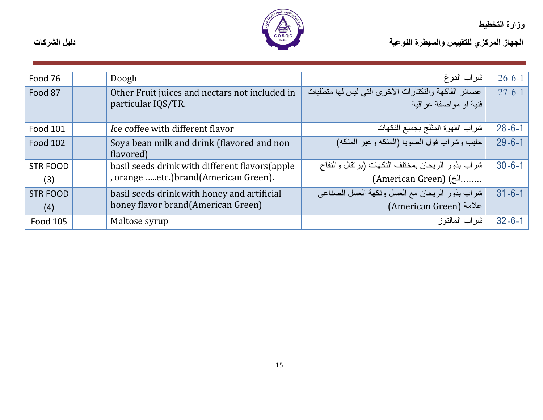

| Food 76         | Doogh                                                                | شراب الدوغ                                                                     | $26 - 6 - 1$ |
|-----------------|----------------------------------------------------------------------|--------------------------------------------------------------------------------|--------------|
| Food 87         | Other Fruit juices and nectars not included in<br>particular IQS/TR. | عصائر الفاكهة والنكتارات الاخرى التي ليس لها متطلبات<br>فنبة او مواصفة عر اقبة | $27 - 6 - 1$ |
|                 |                                                                      |                                                                                |              |
| <b>Food 101</b> | Ice coffee with different flavor                                     | شراب القهوة المثلج بجميع النكهات                                               | $28 - 6 - 1$ |
| <b>Food 102</b> | Soya bean milk and drink (flavored and non                           | حليب وشراب فول الصويا (المنكه وغير المنكه)                                     | $29 - 6 - 1$ |
|                 | flavored)                                                            |                                                                                |              |
| <b>STR FOOD</b> | basil seeds drink with different flavors (apple                      | شراب بذور الريحان بمختلف النكهات (برنقال والتفاح                               | $30 - 6 - 1$ |
| (3)             | , orange etc.)brand(American Green).                                 | (American Green) (ألخ)                                                         |              |
| <b>STR FOOD</b> | basil seeds drink with honey and artificial                          | شراب بذور الريحان مع العسل ونكهة العسل الصناعي                                 | $31 - 6 - 1$ |
| (4)             | honey flavor brand(American Green)                                   | American Green) علامة                                                          |              |
| Food 105        | Maltose syrup                                                        | شر اب المالتو ز                                                                | $32 - 6 - 1$ |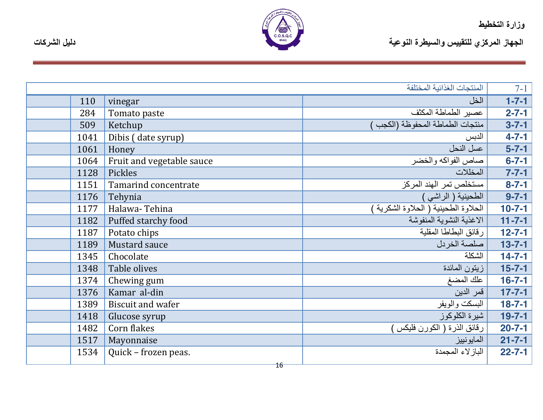

الجهاز المركزي للتقييس والسيطرة النوعية التوعية المسيطرة النوعية المستخدمة المستخدمة المستخدمة المسيطرة التوعية

|      |                           | المنتجات الغذائبة المختلفة           | $7-1$        |
|------|---------------------------|--------------------------------------|--------------|
| 110  | vinegar                   | الخل                                 | $1 - 7 - 1$  |
| 284  | Tomato paste              | عصير الطماطة المكثف                  | $2 - 7 - 1$  |
| 509  | Ketchup                   | منتجات الطماطة المحفوظة (الكجب       | $3 - 7 - 1$  |
| 1041 | Dibis (date syrup)        | الدبس                                | $4 - 7 - 1$  |
| 1061 | Honey                     | عسل النحل                            | $5 - 7 - 1$  |
| 1064 | Fruit and vegetable sauce | صاص الفواكه والخضر                   | $6 - 7 - 1$  |
| 1128 | Pickles                   | المخللات                             | $7 - 7 - 1$  |
| 1151 | Tamarind concentrate      | مستخلص تمر الهند المركز              | $8 - 7 - 1$  |
| 1176 | Tehynia                   | الطحينية ( الراشي )                  | $9 - 7 - 1$  |
| 1177 | Halawa-Tehina             | الحلاوة الطحينية ( الحلاوة الشكرية ) | $10-7-1$     |
| 1182 | Puffed starchy food       | الاغذية النشوية المنفوشة             | $11 - 7 - 1$ |
| 1187 | Potato chips              | رقائق البطاطا المقلبة                | $12 - 7 - 1$ |
| 1189 | <b>Mustard sauce</b>      | صلصة الخردل                          | $13 - 7 - 1$ |
| 1345 | Chocolate                 | الشكلة                               | $14 - 7 - 1$ |
| 1348 | Table olives              | زيتون المائدة                        | $15 - 7 - 1$ |
| 1374 | Chewing gum               | علك المضغ                            | $16 - 7 - 1$ |
| 1376 | Kamar al-din              | قمر الدين                            | $17 - 7 - 1$ |
| 1389 | <b>Biscuit and wafer</b>  | البسكت والويفر                       | $18 - 7 - 1$ |
| 1418 | Glucose syrup             | شيرة الكلوكوز                        | $19 - 7 - 1$ |
| 1482 | Corn flakes               | رقائق الذرة ( الكورن فليكس )         | $20 - 7 - 1$ |
| 1517 | Mayonnaise                | المايونييز                           | $21 - 7 - 1$ |
| 1534 | Quick - frozen peas.      | الباز لاء المجمدة                    | $22 - 7 - 1$ |
|      | 16                        |                                      |              |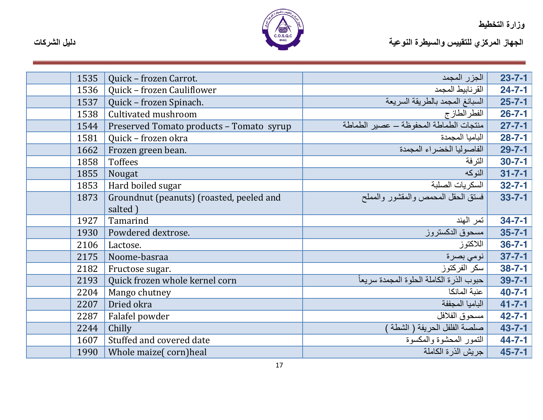

| 1535 | Quick - frozen Carrot.                   | الجزر المجمد                              | $23 - 7 - 1$ |
|------|------------------------------------------|-------------------------------------------|--------------|
| 1536 | Quick - frozen Cauliflower               | القرنابيط المجمد                          | $24 - 7 - 1$ |
| 1537 | Quick - frozen Spinach.                  | السبانغ المجمد بالطريقة السريعة           | $25 - 7 - 1$ |
| 1538 | Cultivated mushroom                      | الفطرالطازج                               | $26 - 7 - 1$ |
| 1544 | Preserved Tomato products - Tomato syrup | منتجات الطماطة المحفوظة – عصير الطماطة    | $27 - 7 - 1$ |
| 1581 | Quick - frozen okra                      | الباميا المجمدة                           | $28 - 7 - 1$ |
| 1662 | Frozen green bean.                       | الفاصوليا الخصراء المجمدة                 | $29 - 7 - 1$ |
| 1858 | Toffees                                  | الترفة                                    | $30 - 7 - 1$ |
| 1855 | Nougat                                   | النوكه                                    | $31 - 7 - 1$ |
| 1853 | Hard boiled sugar                        | السكر يات الصلبة                          | $32 - 7 - 1$ |
| 1873 | Groundnut (peanuts) (roasted, peeled and | فسنق الحقل المحمص والمقشور والمملح        | $33 - 7 - 1$ |
|      | salted)                                  |                                           |              |
| 1927 | Tamarind                                 | تمر الهند                                 | $34 - 7 - 1$ |
| 1930 | Powdered dextrose.                       | مسحوق الدكستروز                           | $35 - 7 - 1$ |
| 2106 | Lactose.                                 | اللاكتوز                                  | $36 - 7 - 1$ |
| 2175 | Noome-basraa                             | نومي بصرة                                 | $37 - 7 - 1$ |
| 2182 | Fructose sugar.                          | سكر الفركتوز                              | $38 - 7 - 1$ |
| 2193 | Quick frozen whole kernel corn           | حبوب الذر ة الكاملة الحلوة المجمدة سريعاً | $39 - 7 - 1$ |
| 2204 | Mango chutney                            | عنبة المانكا                              | $40 - 7 - 1$ |
| 2207 | Dried okra                               | الباميا المجففة                           | $41 - 7 - 1$ |
| 2287 | Falafel powder                           | مسحوق الفلافل                             | $42 - 7 - 1$ |
| 2244 | Chilly                                   | صلصة الفلفل الحريفة ( الشطة               | $43 - 7 - 1$ |
| 1607 | Stuffed and covered date                 | التمور المحشوة والمكسوة                   | $44 - 7 - 1$ |
| 1990 | Whole maize (corn) heal                  | جريش الذرة الكاملة                        | $45 - 7 - 1$ |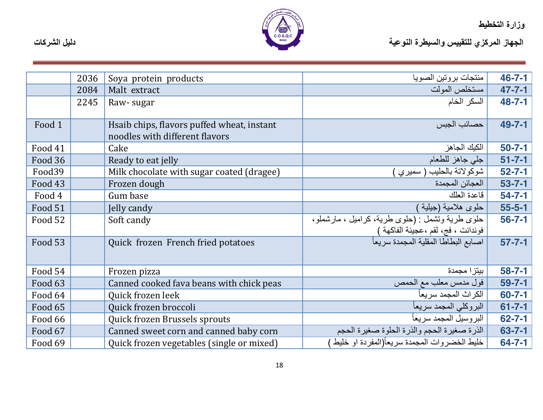

|                   | 2036 | Soya protein products                      | منتجات بروتين الصويا                                                       | $46 - 7 - 1$ |
|-------------------|------|--------------------------------------------|----------------------------------------------------------------------------|--------------|
|                   | 2084 | Malt extract                               | مستخلص المولت                                                              | $47 - 7 - 1$ |
|                   | 2245 | Raw-sugar                                  | السكر الخام                                                                | $48 - 7 - 1$ |
|                   |      |                                            |                                                                            |              |
| Food <sub>1</sub> |      | Hsaib chips, flavors puffed wheat, instant | حصائب الجبس                                                                | 49-7-1       |
|                   |      | noodles with different flavors             |                                                                            |              |
| Food 41           |      | Cake                                       | الكيك الجاهز                                                               | $50 - 7 - 1$ |
| Food 36           |      | Ready to eat jelly                         | جلى جاهز للطعام                                                            | $51 - 7 - 1$ |
| Food39            |      | Milk chocolate with sugar coated (dragee)  | شوكولاتة بالحليب ( سميري )                                                 | $52 - 7 - 1$ |
| Food 43           |      | Frozen dough                               | العجائن المجمدة                                                            | $53 - 7 - 1$ |
| Food 4            |      | Gum base                                   | فاعدة العلك                                                                | $54 - 7 - 1$ |
| Food 51           |      | Jelly candy                                | حلوي هلامية (جيلية )                                                       | $55 - 5 - 1$ |
| Food 52           |      | Soft candy                                 | حلوى طرية ونشمل : (حلوى طرية، كراميل ، مارشملو،                            | $56 - 7 - 1$ |
|                   |      |                                            | فوندانت ، فج، لقم ،عجينة الفاكهة )<br>اصابع البطاطا المقلية المجمدة سريعاً |              |
| Food 53           |      | Quick frozen French fried potatoes         |                                                                            | $57 - 7 - 1$ |
|                   |      |                                            |                                                                            |              |
| Food 54           |      | Frozen pizza                               | بيتزا مجمدة                                                                | $58 - 7 - 1$ |
| Food 63           |      | Canned cooked fava beans with chick peas   | فول مدمس معلب مع الحمص                                                     | $59 - 7 - 1$ |
| Food 64           |      | Quick frozen leek                          | الكراث المجمد سريعاً                                                       | $60 - 7 - 1$ |
| Food 65           |      | Quick frozen broccoli                      | البروكلي المجمد سريعأ                                                      | $61 - 7 - 1$ |
| Food 66           |      | Quick frozen Brussels sprouts              | البروسيل المجمد سريعاً                                                     | $62 - 7 - 1$ |
| Food 67           |      | Canned sweet corn and canned baby corn     | الذرة صغيرة الحجم والذرة الحلوة صغيرة الحجم                                | $63 - 7 - 1$ |
| Food 69           |      | Quick frozen vegetables (single or mixed)  | خليط الخضروات المجمدة سريعأ(المفردة او خليط )                              | $64 - 7 - 1$ |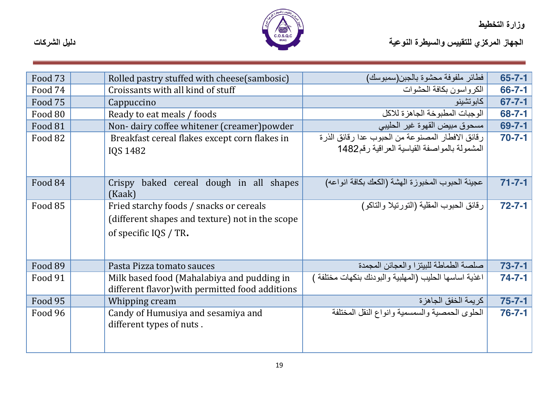

| Food 73 | Rolled pastry stuffed with cheese(sambosic)                                                                         | فطائر ملفوفة محشوة بالجبن(سمبوسك)                                                                    | $65 - 7 - 1$ |
|---------|---------------------------------------------------------------------------------------------------------------------|------------------------------------------------------------------------------------------------------|--------------|
| Food 74 | Croissants with all kind of stuff                                                                                   | الكر و اسو ن بكافة الحشو ات                                                                          | $66 - 7 - 1$ |
| Food 75 | Cappuccino                                                                                                          | كابوتشينو                                                                                            | $67 - 7 - 1$ |
| Food 80 | Ready to eat meals / foods                                                                                          | الوجبات المطبوخة الجاهزة للاكل                                                                       | $68 - 7 - 1$ |
| Food 81 | Non-dairy coffee whitener (creamer) powder                                                                          | مسحوق مبيض القهوة غير الحليبي                                                                        | $69 - 7 - 1$ |
| Food 82 | Breakfast cereal flakes except corn flakes in<br>IQS 1482                                                           | رِ قائق الافطار المصنوعة من الحبوب عدا رِ قائق الذرء<br>المشمولة بالمواصفة القياسية العراقية رقم1482 | $70 - 7 - 1$ |
|         |                                                                                                                     |                                                                                                      |              |
| Food 84 | baked cereal dough in all shapes<br>Crispy<br>(Kaak)                                                                | عجينة الحبوب المخبوزة الهشة (الكعك بكافة انواعه)                                                     | $71 - 7 - 1$ |
| Food 85 | Fried starchy foods / snacks or cereals<br>(different shapes and texture) not in the scope<br>of specific IQS / TR. | رقائق الحبوب المقلية (التورتيلا والتاكو)                                                             | $72 - 7 - 1$ |
| Food 89 | Pasta Pizza tomato sauces                                                                                           | صلصة الطماطة للبيتزا والعجائن المجمدة                                                                | $73 - 7 - 1$ |
| Food 91 | Milk based food (Mahalabiya and pudding in<br>different flavor) with permitted food additions                       | اغذية اساسها الحليب (المهلبية والبودنك بنكهات مختلفة ′                                               | $74 - 7 - 1$ |
| Food 95 | Whipping cream                                                                                                      | كريمة الخفق الجاهز ة                                                                                 | $75 - 7 - 1$ |
| Food 96 | Candy of Humusiya and sesamiya and<br>different types of nuts.                                                      | الحلوى الحمصية والسمسمية وانواع النقل المختلفة                                                       | $76 - 7 - 1$ |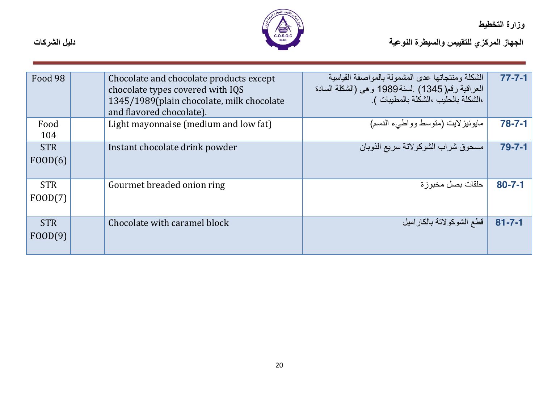

| Food 98               | Chocolate and chocolate products except<br>chocolate types covered with IQS<br>1345/1989(plain chocolate, milk chocolate<br>and flavored chocolate). | الشكلة ومنتجاتها عدى المشمولة بالمواصفة القياسية<br>العراقية رقم( 1345) .لسنة1989 و هي (الشكلة السادة<br>،الشكلة بالحليب ،الشكلة بالمطيبات ). | $77 - 7 - 1$ |
|-----------------------|------------------------------------------------------------------------------------------------------------------------------------------------------|-----------------------------------------------------------------------------------------------------------------------------------------------|--------------|
| Food<br>104           | Light mayonnaise (medium and low fat)                                                                                                                | مايونيزلايت (متوسط وواطبىء الدسم)                                                                                                             | $78 - 7 - 1$ |
| <b>STR</b><br>FOOD(6) | Instant chocolate drink powder                                                                                                                       | مسحوق شراب الشوكولاتة سريع الذوبان                                                                                                            | $79 - 7 - 1$ |
| <b>STR</b><br>FOOD(7) | Gourmet breaded onion ring                                                                                                                           | حلقات بصل مخبوزة                                                                                                                              | $80 - 7 - 1$ |
| <b>STR</b><br>FOOD(9) | Chocolate with caramel block                                                                                                                         | قطع الشوكولاتة بالكاراميل                                                                                                                     | $81 - 7 - 1$ |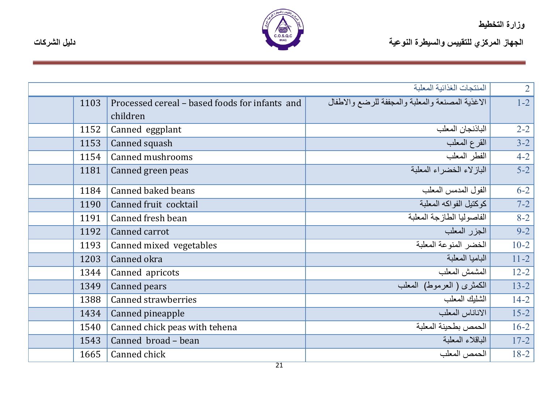

|      |                                                            | المنتجات الغذائية المعلبة                        | $\overline{2}$ |
|------|------------------------------------------------------------|--------------------------------------------------|----------------|
| 1103 | Processed cereal – based foods for infants and<br>children | الاغذية المصنعة والمعلبة والمجففة للرضع والاطفال | $1-2$          |
| 1152 | Canned eggplant                                            | الباذنجان المعلب                                 | $2 - 2$        |
| 1153 | Canned squash                                              | القرع المعلب                                     | $3 - 2$        |
| 1154 | Canned mushrooms                                           | الفطر المعلب                                     | $4 - 2$        |
| 1181 | Canned green peas                                          | الباز لاء الخضر اء المعلبة                       | $5-2$          |
| 1184 | <b>Canned baked beans</b>                                  | الفول المدمس المعلب                              | $6 - 2$        |
| 1190 | Canned fruit cocktail                                      | كوكتيل الفواكه المعلبة                           | $7 - 2$        |
| 1191 | Canned fresh bean                                          | الفاصوليا الطازجة المعلبة                        | $8 - 2$        |
| 1192 | Canned carrot                                              | الجزر المعلب                                     | $9 - 2$        |
| 1193 | Canned mixed vegetables                                    | الخضر المنوعة المعلبة                            | $10-2$         |
| 1203 | Canned okra                                                | الباميا المعلبة                                  | $11 - 2$       |
| 1344 | Canned apricots                                            | المشمش المعلب                                    | $12 - 2$       |
| 1349 | Canned pears                                               | الكمثرى ( العرموط) المعلب                        | $13 - 2$       |
| 1388 | <b>Canned strawberries</b>                                 | الشليك المعلب                                    | $14 - 2$       |
| 1434 | Canned pineapple                                           | الاناناس المعلب                                  | $15 - 2$       |
| 1540 | Canned chick peas with tehena                              | الحمص بطحينة المعلبة                             | $16 - 2$       |
| 1543 | Canned broad - bean                                        | الباقلاء المعلبة                                 | $17 - 2$       |
| 1665 | Canned chick                                               | الحمص المعلب                                     | $18 - 2$       |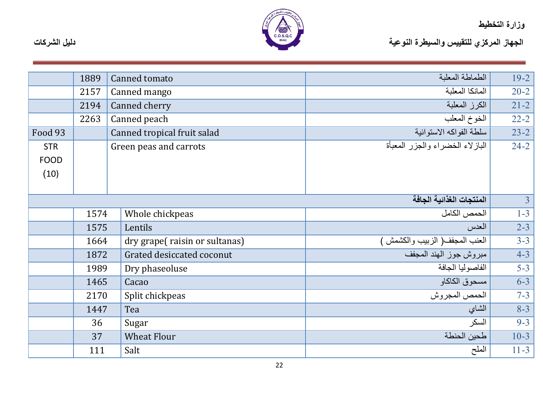

|                           | 1889 | Canned tomato                 | الطماطة المعلبة                 | $19 - 2$       |
|---------------------------|------|-------------------------------|---------------------------------|----------------|
|                           | 2157 | Canned mango                  | المانكا المعلبة                 | $20 - 2$       |
|                           | 2194 | Canned cherry                 | الكرز المعلبة                   | $21 - 2$       |
|                           | 2263 | Canned peach                  | الخوخ المعلب                    | $22 - 2$       |
| Food 93                   |      | Canned tropical fruit salad   | سلطة الفواكه الاستوائية         | $23 - 2$       |
| <b>STR</b><br><b>FOOD</b> |      | Green peas and carrots        | البازلاء الخضراء والجزر المعبأة | $24 - 2$       |
| (10)                      |      |                               |                                 |                |
|                           |      |                               |                                 |                |
|                           |      |                               | المنتجات الغذائية الجافة        | $\overline{3}$ |
|                           | 1574 | Whole chickpeas               | الحمص الكامل                    | $1-3$          |
|                           | 1575 | Lentils                       | العدس                           | $2 - 3$        |
|                           | 1664 | dry grape(raisin or sultanas) | العنب المجفف( الزبيب والكشمش )  | $3 - 3$        |
|                           | 1872 | Grated desiccated coconut     | مبروش جوز الهند المجفف          | $4 - 3$        |
|                           | 1989 | Dry phaseoluse                | الفاصوليا الجافة                | $5 - 3$        |
|                           | 1465 | Cacao                         | مسحوق الكاكاو                   | $6 - 3$        |
|                           | 2170 | Split chickpeas               | الحمص المجر وش                  | $7 - 3$        |
|                           | 1447 | Tea                           | الشاي                           | $8 - 3$        |
|                           | 36   | Sugar                         | السكر                           | $9 - 3$        |
|                           | 37   | <b>Wheat Flour</b>            | طحين الحنطة                     | $10-3$         |
|                           | 111  | Salt                          | الملح                           | $11 - 3$       |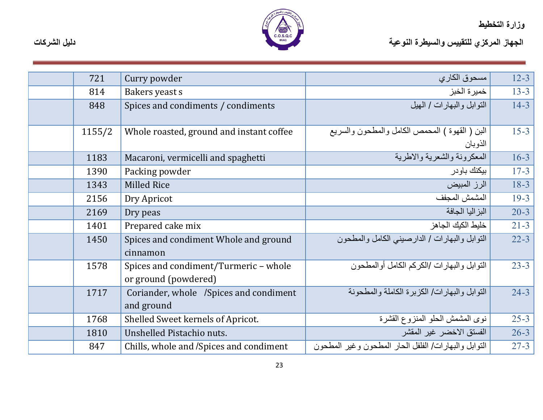

| 721    | Curry powder                                                  | مسحوق الكاري                                              | $12 - 3$ |
|--------|---------------------------------------------------------------|-----------------------------------------------------------|----------|
| 814    | Bakers yeast s                                                | خميرة الخبز                                               | $13 - 3$ |
| 848    | Spices and condiments / condiments                            | التوابل والبهار ات / الهيل                                | $14 - 3$ |
| 1155/2 | Whole roasted, ground and instant coffee                      | البن ( القهوة ) المحمص الكامل والمطحون والسريع<br>الذوبان | $15 - 3$ |
| 1183   | Macaroni, vermicelli and spaghetti                            | المعكرونة والشعرية والاطرية                               | $16 - 3$ |
| 1390   | Packing powder                                                | بيكنك باودر                                               | $17 - 3$ |
| 1343   | <b>Milled Rice</b>                                            | الرز المبيض                                               | $18-3$   |
| 2156   | Dry Apricot                                                   | المشمش المجفف                                             | $19 - 3$ |
| 2169   | Dry peas                                                      | البز اليا الجافة                                          | $20 - 3$ |
| 1401   | Prepared cake mix                                             | خليط الكيك الجاهز                                         | $21 - 3$ |
| 1450   | Spices and condiment Whole and ground<br>cinnamon             | النّوابل والبهارات / الدارصيني الكامل والمطحون            | $22 - 3$ |
| 1578   | Spices and condiment/Turmeric - whole<br>or ground (powdered) | النوابل والبهارات /الكركم الكامل أوالمطحون                | $23 - 3$ |
| 1717   | Coriander, whole /Spices and condiment<br>and ground          | التو ابل و البهار ات/ الكز بر ة الكاملة و المطحو نة       | $24 - 3$ |
| 1768   | Shelled Sweet kernels of Apricot.                             | نوى المشمش الحلو المنزوع القشرة                           | $25 - 3$ |
| 1810   | Unshelled Pistachio nuts.                                     | الفستق الاخضر غير المقشر                                  | $26 - 3$ |
| 847    | Chills, whole and /Spices and condiment                       | النوابل والبهارات/ الفلفل الحار المطحون وغير المطحون      | $27 - 3$ |
|        |                                                               |                                                           |          |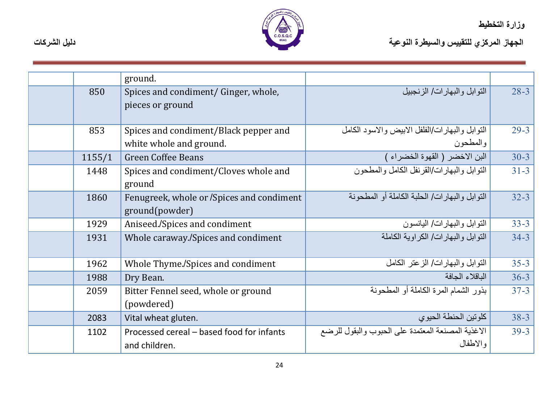

|        | ground.                                   |                                                   |          |
|--------|-------------------------------------------|---------------------------------------------------|----------|
| 850    | Spices and condiment/ Ginger, whole,      | النوابل والبهار ات/ الزنجبيل                      | $28 - 3$ |
|        | pieces or ground                          |                                                   |          |
|        |                                           |                                                   |          |
| 853    | Spices and condiment/Black pepper and     | النوابل والبهار ات/الفلفل الابيض والاسود الكامل   | $29 - 3$ |
|        | white whole and ground.                   | والمطحون                                          |          |
| 1155/1 | <b>Green Coffee Beans</b>                 | البن الاخضر (القهوة الخضراء)                      | $30 - 3$ |
| 1448   | Spices and condiment/Cloves whole and     | النَّو ابل و البهار ات/القر نفل الكامل و المطحون  | $31 - 3$ |
|        | ground                                    |                                                   |          |
| 1860   | Fenugreek, whole or /Spices and condiment | النوابل والبهارات/ الحلبة الكاملة أو المطحونة     | $32 - 3$ |
|        | ground(powder)                            |                                                   |          |
| 1929   | Aniseed./Spices and condiment             | النوابل والبهارات/ اليانسون                       | $33 - 3$ |
| 1931   | Whole caraway./Spices and condiment       | النو ابل و البهار ات/ الكر او بة الكاملة          | $34 - 3$ |
|        |                                           |                                                   |          |
| 1962   | Whole Thyme./Spices and condiment         | النوابل والبهارات/ الزعتر الكامل                  | $35 - 3$ |
| 1988   | Dry Bean.                                 | الباقلاء الجافة                                   | $36 - 3$ |
| 2059   | Bitter Fennel seed, whole or ground       | بذور الشمام المرة الكاملة أو المطحونة             | $37 - 3$ |
|        | (powdered)                                |                                                   |          |
| 2083   | Vital wheat gluten.                       | كلوتين الحنطة الحيوى                              | $38 - 3$ |
| 1102   | Processed cereal – based food for infants | الاغذية المصنعة المعتمدة على الحبوب والبقول للرضع | $39 - 3$ |
|        | and children.                             | والاطفال                                          |          |
|        |                                           |                                                   |          |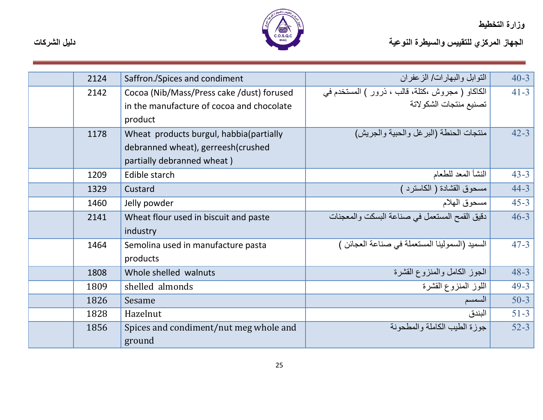

| 2124 | Saffron./Spices and condiment             | التوابل والبهارات/ الزعفران                      | $40 - 3$ |
|------|-------------------------------------------|--------------------------------------------------|----------|
| 2142 | Cocoa (Nib/Mass/Press cake /dust) forused | الكاكاو ( مجروش ،كتلة، قالب ، ذرور ) المستخدم في | $41 - 3$ |
|      | in the manufacture of cocoa and chocolate | تصنيع منتجات الشكو لاتة                          |          |
|      | product                                   |                                                  |          |
| 1178 | Wheat products burgul, habbia(partially   | منتجات الحنطة (البرغل والحبية والجريش)           | $42 - 3$ |
|      | debranned wheat), gerreesh(crushed        |                                                  |          |
|      | partially debranned wheat)                |                                                  |          |
| 1209 | Edible starch                             | النشأ المعد للطعام                               | $43 - 3$ |
| 1329 | Custard                                   | مسحوق القشادة ( الكاسترد )                       | $44 - 3$ |
| 1460 | Jelly powder                              | مسحوق الهلام                                     | $45 - 3$ |
| 2141 | Wheat flour used in biscuit and paste     | دقيق القمح المستعمل في صناعة البسكت والمعجنات    | $46 - 3$ |
|      | industry                                  |                                                  |          |
| 1464 | Semolina used in manufacture pasta        | السميد (السمولينا المستعملة في صناعة العجائن )   | $47 - 3$ |
|      | products                                  |                                                  |          |
| 1808 | Whole shelled walnuts                     | الجوز الكامل والمنزوع القشرة                     | $48 - 3$ |
| 1809 | shelled almonds                           | اللوز المنزوع القشرة                             | $49 - 3$ |
| 1826 | Sesame                                    | السمسم                                           | $50-3$   |
| 1828 | Hazelnut                                  | البندق                                           | $51 - 3$ |
| 1856 | Spices and condiment/nut meg whole and    | جوز ة الطيب الكاملة و المطحونة                   | $52 - 3$ |
|      | ground                                    |                                                  |          |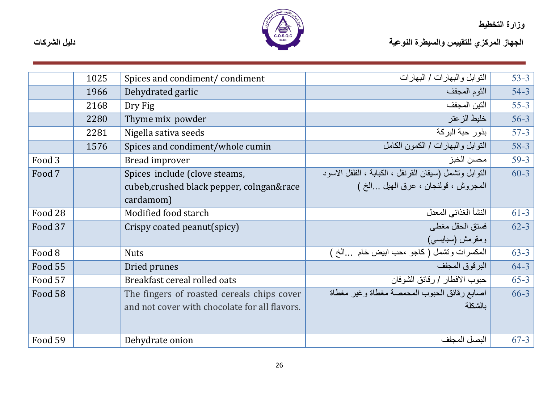

|         | 1025 | Spices and condiment/condiment                | النوابل والبهارات / البهارات                           | $53 - 3$ |
|---------|------|-----------------------------------------------|--------------------------------------------------------|----------|
|         | 1966 | Dehydrated garlic                             | الثوم المجفف                                           | $54 - 3$ |
|         | 2168 | Dry Fig                                       | التين المجفف                                           | $55 - 3$ |
|         | 2280 | Thyme mix powder                              | خليط الزعتر                                            | $56 - 3$ |
|         | 2281 | Nigella sativa seeds                          | بذور حبة البركة                                        | $57 - 3$ |
|         | 1576 | Spices and condiment/whole cumin              | النوابل والبهارات / الكمون الكامل                      | $58 - 3$ |
| Food 3  |      | Bread improver                                | محسن الخبز                                             | $59-3$   |
| Food 7  |      | Spices include (clove steams,                 | التوابل وتشمل (سيقان القرنفل ، الكبابة ، الفلفل الاسود | $60 - 3$ |
|         |      | cubeb, crushed black pepper, colngan∽̱        | المجروش ، قولنجان ، عرق المهيل الخ )                   |          |
|         |      | cardamom)                                     |                                                        |          |
| Food 28 |      | Modified food starch                          | النشأ الغذائي المعدل                                   | $61 - 3$ |
| Food 37 |      | Crispy coated peanut(spicy)                   | فسنق الحقل مغطى                                        | $62 - 3$ |
|         |      |                                               | ومقرمش (سبابسی)                                        |          |
| Food 8  |      | <b>Nuts</b>                                   | المكسرات وتشمل (كاجو ،حب ابيض خام الخ )                | $63 - 3$ |
| Food 55 |      | Dried prunes                                  | البرقوق المجفف                                         | $64 - 3$ |
| Food 57 |      | Breakfast cereal rolled oats                  | حبوب الافطار / رقائق الشوفان                           | $65 - 3$ |
| Food 58 |      | The fingers of roasted cereals chips cover    | اصبابع رقائق الحبوب المحمصة مغطاة وغير مغطاة           | $66 - 3$ |
|         |      | and not cover with chocolate for all flavors. | بالشكلة                                                |          |
|         |      |                                               |                                                        |          |
| Food 59 |      | Dehydrate onion                               | البصل المجفف                                           | $67 - 3$ |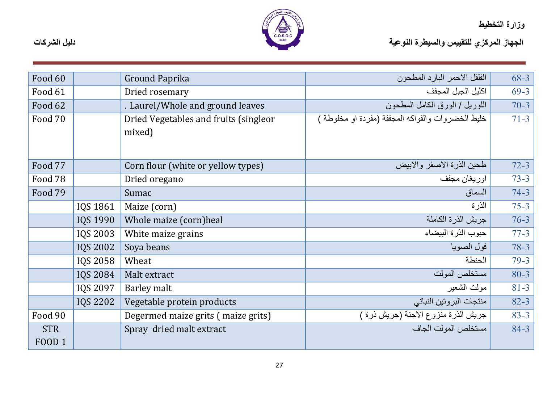

| Food 60                     |                 | Ground Paprika                                  | الفلفل الاحمر البارد المطحون                      | $68 - 3$ |
|-----------------------------|-----------------|-------------------------------------------------|---------------------------------------------------|----------|
| Food 61                     |                 | Dried rosemary                                  | اكليل الجبل المجفف                                | $69-3$   |
| Food 62                     |                 | . Laurel/Whole and ground leaves                | اللوريل / الورق الكامل المطحون                    | $70 - 3$ |
| Food 70                     |                 | Dried Vegetables and fruits (singleor<br>mixed) | خليط الخضروات والفواكه المجففة (مفردة او مخلوطة ) | $71 - 3$ |
| Food 77                     |                 | Corn flour (white or yellow types)              | طحين الذرة الاصفر والابيض                         | $72 - 3$ |
| Food 78                     |                 | Dried oregano                                   | اوريغان مجفف                                      | $73 - 3$ |
| Food 79                     |                 | Sumac                                           | السماق                                            | $74 - 3$ |
|                             | IQS 1861        | Maize (corn)                                    | الذر ة                                            | $75 - 3$ |
|                             | <b>IQS 1990</b> | Whole maize (corn)heal                          | جريش الذرة الكاملة                                | $76 - 3$ |
|                             | <b>IQS 2003</b> | White maize grains                              | حبوب الذرة البيضاء                                | $77 - 3$ |
|                             | <b>IQS 2002</b> | Soya beans                                      | فول الصويا                                        | $78 - 3$ |
|                             | <b>IQS 2058</b> | Wheat                                           | الحنطة                                            | $79 - 3$ |
|                             | <b>IQS 2084</b> | Malt extract                                    | مستخلص المولت                                     | $80 - 3$ |
|                             | <b>IQS 2097</b> | <b>Barley malt</b>                              | مولت الشعير                                       | $81 - 3$ |
|                             | <b>IQS 2202</b> | Vegetable protein products                      | منتجات البروتين النباتي                           | $82 - 3$ |
| Food 90                     |                 | Degermed maize grits (maize grits)              | جريش الذرة منزوع الاجنة (جريش ذرة )               | $83 - 3$ |
| <b>STR</b><br><b>FOOD 1</b> |                 | Spray dried malt extract                        | مستخلص المولت الجاف                               | $84 - 3$ |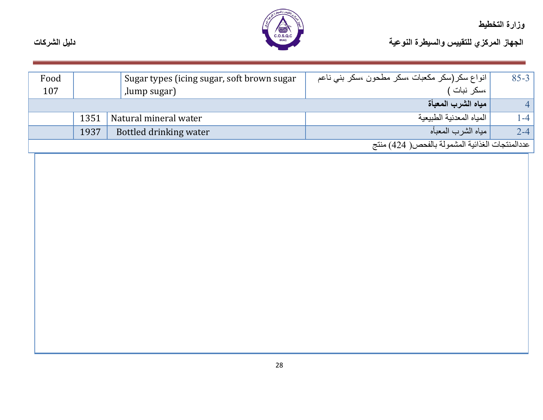

| دليل الشركات | <b>IRAQ</b> | الجهاز المركزي للتقييس والسيطرة النوعية |
|--------------|-------------|-----------------------------------------|
|              |             |                                         |

| Food |      | Sugar types (icing sugar, soft brown sugar | انواع سکر(سکر مکعبات ،سکر مطحون ،سکر بنی ناعم   | $85 - 3$ |
|------|------|--------------------------------------------|-------------------------------------------------|----------|
| 107  |      | ,lump sugar)                               | ،سكر نبات )                                     |          |
|      |      |                                            | ِ مياه الشربِ المعبأة                           |          |
|      | 1351 | Natural mineral water                      | المياه المعدنية الطبيعية                        | $-4$     |
|      | 1937 | Bottled drinking water                     | مياه الشر ب المعبأه                             | $2 - 4$  |
|      |      |                                            | عددالمنتجات الغذائية المشمولة بالفحص( 424) منتج |          |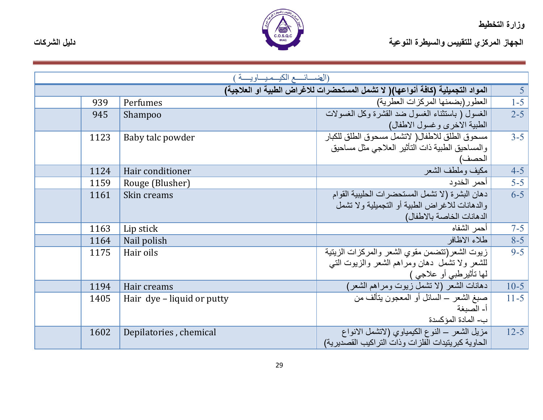

|  | <b>IRAQ</b> |  |  | الجهاز المركزي للتقييس والسيطرة النوعية |
|--|-------------|--|--|-----------------------------------------|

|      | (الضــــائـــــع الكيـــمـيـــــاويـــــة ) |                                                                                 |                 |
|------|---------------------------------------------|---------------------------------------------------------------------------------|-----------------|
|      |                                             | المواد التجميلية (كافة أنواعها)( لا تشمل المستحضرات للاغراض الطبية او العلاجية) |                 |
| 939  | Perfumes                                    | العطور (بضمنها المركزات العطرية)                                                | $\frac{5}{1-5}$ |
| 945  | Shampoo                                     | الغسول ( باستثناء الغسول ضد القشرة وكل الغسولات                                 | $2 - 5$         |
|      |                                             | الطبية الاخرى وغسول الاطفال)                                                    |                 |
| 1123 | Baby talc powder                            | مسحوق الطلق للاطفال( لاتشمل مسحوق الطلق للكبار                                  | $3 - 5$         |
|      |                                             | والمساحيق الطبية ذات التأثير العلاجي مثل مساحيق                                 |                 |
|      |                                             | الحصف)                                                                          |                 |
| 1124 | Hair conditioner                            | مكيف وملطف الشعر                                                                | $4-5$           |
| 1159 | Rouge (Blusher)                             | أحمر الخدود                                                                     | $5 - 5$         |
| 1161 | Skin creams                                 | دهان البشرة (لا تشمل المستحضرات الحليبية القوام                                 | $6-5$           |
|      |                                             | والدهانات للاغراض الطبية أو التجميلية ولا تشمل                                  |                 |
|      |                                             | الدهانات الخاصة بالاطفال)                                                       |                 |
| 1163 | Lip stick                                   | أحمر الشفاه                                                                     | $7 - 5$         |
| 1164 | Nail polish                                 | طلاء الاظافر                                                                    | $8-5$           |
| 1175 | Hair oils                                   | زيوت الشعر(تتضمن مقوى الشعر والمركزات الزيتية                                   | $9 - 5$         |
|      |                                             | للشعر ولا تشمل دهان ومراهم الشعر والزبوت التبي                                  |                 |
|      |                                             | لَّها تَأْثَيْرِطْبِي أَوْ عَلَاجِي )                                           |                 |
| 1194 | Hair creams                                 | دهانات الشعر (لا تشمل زيوت ومراهم الشعر)                                        | $10-5$          |
| 1405 | Hair dye – liquid or putty                  | صبغ الشعر – السائل أو المعجون يتألَّف من                                        | $11 - 5$        |
|      |                                             | أ- الصبغة                                                                       |                 |
|      |                                             | ب- المادة المؤكسدة                                                              |                 |
| 1602 | Depilatories, chemical                      | مزيل الشعر ــ النوع الكيمياوي (لاتشمل الانواع                                   | $12 - 5$        |
|      |                                             | الحاوية كبر يتيدات الفلز ات وذات التر اكيب القصدير ية)                          |                 |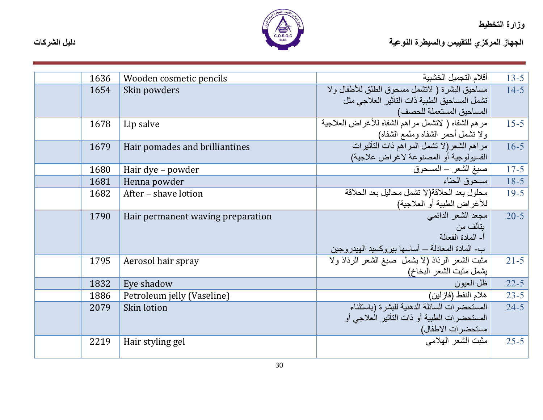

الجهاز المركزي للتقييس والسيطرة النوعية التوعية المسيطرة المتوجعة المسيطرة التوعية المسيطرة التوعية المسيطرة المسيطرة المسيطرة المسيطرة المسيطرة المسيطرة المسيطرة المسيطرة المسيطرة المسيطرة المسيطرة المسيطرة المسيطرة المس

| 1636 | Wooden cosmetic pencils           | أقلام التجميل الخشبية                              | $13 - 5$                                                                                                               |
|------|-----------------------------------|----------------------------------------------------|------------------------------------------------------------------------------------------------------------------------|
| 1654 | Skin powders                      | مساحيق البشرة ( لاتشمل مسحوق الطلق للأطفال ولا     | $14 - 5$                                                                                                               |
|      |                                   | تشمل المساحيق الطبية ذات التأثير العلاجي مثل       |                                                                                                                        |
|      |                                   | المساحيق المستعملة للحصف)                          |                                                                                                                        |
| 1678 | Lip salve                         |                                                    | $15 - 5$                                                                                                               |
|      |                                   | ولا نشمل أحمر الشفاه وملمع الشفاه)                 |                                                                                                                        |
| 1679 | Hair pomades and brilliantines    | مراهم الشعر (لا تشمل المراهم ذات التأثيرات         | $16 - 5$                                                                                                               |
|      |                                   | الفسيولوجية أو المصنوعة لاغراض علاجية)             |                                                                                                                        |
| 1680 | Hair dye – powder                 | صبغ الشعر – المسحوق                                | $17 - 5$                                                                                                               |
| 1681 | Henna powder                      | مسحوق الحناء                                       | $18-5$                                                                                                                 |
| 1682 | After - shave lotion              | محلول بعد الحلاقة(لا تشمل محاليل بعد الحلاقة       | $19 - 5$                                                                                                               |
|      |                                   | للأغراض الطبية أو العلاجية)                        |                                                                                                                        |
| 1790 | Hair permanent waving preparation | مجعد الشعر الدائمي                                 | $20 - 5$                                                                                                               |
|      |                                   | بتألف من                                           |                                                                                                                        |
|      |                                   |                                                    |                                                                                                                        |
|      |                                   | ب- المادة المعادلة – أساسها بيروكسيد الهيدروجين    |                                                                                                                        |
| 1795 | Aerosol hair spray                | مثبت الشعر الرذاذ (لا بِشْمَل صبغ الشعر الرذاذ ولا | $21 - 5$                                                                                                               |
|      |                                   | يشمل مثبت الشعر البخاخ)                            |                                                                                                                        |
| 1832 | Eye shadow                        | ظل العبو ن                                         | $22 - 5$                                                                                                               |
| 1886 | Petroleum jelly (Vaseline)        | هلام النفط (فازلين)                                | $23 - 5$                                                                                                               |
| 2079 | Skin lotion                       | المستحضرات السائلة الدهنية للبشرة (باستثناء        | $24 - 5$                                                                                                               |
|      |                                   |                                                    |                                                                                                                        |
|      |                                   | مستحضرات الاطفال)                                  |                                                                                                                        |
| 2219 | Hair styling gel                  | مثبت الشعر الهلامي                                 | $25 - 5$                                                                                                               |
|      |                                   |                                                    |                                                                                                                        |
|      |                                   |                                                    | مرهم الشفاه ( لانشمل مراهم الشفاه للأغراض العلاجية<br>أ- المادة الفعالة<br>المستحضرات الطبية أو ذات التأثير العلاجي أو |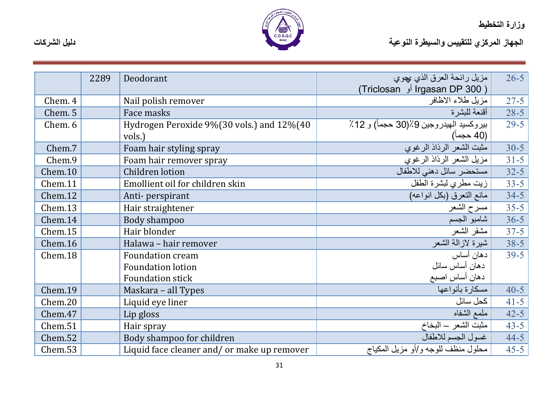

|         | 2289 | Deodorant                                   | مزيل رائحة العرق الذي بجوي             | $26 - 5$ |
|---------|------|---------------------------------------------|----------------------------------------|----------|
|         |      |                                             | ( Irgasan DP 300 أو Triclosan)         |          |
| Chem. 4 |      | Nail polish remover                         | مزيل طلاء الاظافر                      | $27 - 5$ |
| Chem. 5 |      | Face masks                                  | أقنعة للبشر ة                          | $28 - 5$ |
| Chem. 6 |      | Hydrogen Peroxide 9%(30 vols.) and 12%(40   | بيروكسيد الهيدروجين 9٪(30 حجماً) و 12٪ | $29 - 5$ |
|         |      | vols.)                                      | (40 حجما)                              |          |
| Chem.7  |      | Foam hair styling spray                     | مثبت الشعر الرذاذ الرغوي               | $30 - 5$ |
| Chem.9  |      | Foam hair remover spray                     | مزيل الشعر الرذاذ الرغوي               | $31 - 5$ |
| Chem.10 |      | Children lotion                             | مستحضر سائل دهني للاطفال               | $32 - 5$ |
| Chem.11 |      | Emollient oil for children skin             | زيت مطري لبشرة الطفل                   | $33 - 5$ |
| Chem.12 |      | Anti-perspirant                             | مانع التعرق (بكل انواعه)               | $34 - 5$ |
| Chem.13 |      | Hair straightener                           | مسرح الشعر                             | $35 - 5$ |
| Chem.14 |      | Body shampoo                                | شامبو الجسم                            | $36 - 5$ |
| Chem.15 |      | Hair blonder                                | مشقر الشعر                             | $37 - 5$ |
| Chem.16 |      | Halawa - hair remover                       | شيرة لازالة الشعر                      | $38-5$   |
| Chem.18 |      | <b>Foundation cream</b>                     | دهان أساس                              | $39 - 5$ |
|         |      | <b>Foundation lotion</b>                    | دهان أساس سائل                         |          |
|         |      | <b>Foundation stick</b>                     | دهان أساس اصبع                         |          |
| Chem.19 |      | Maskara – all Types                         | مسكارة بأنواعها                        | $40 - 5$ |
| Chem.20 |      | Liquid eye liner                            | كحل سائل                               | $41 - 5$ |
| Chem.47 |      | Lip gloss                                   | ملمع الشفاه                            | $42 - 5$ |
| Chem.51 |      | Hair spray                                  | مثبت الشعر – البخاخ                    | $43 - 5$ |
| Chem.52 |      | Body shampoo for children                   | غسول الجسم للاطفال                     | $44 - 5$ |
| Chem.53 |      | Liquid face cleaner and/ or make up remover | محلول منظف للوجه و/أو مزيل المكياج     | $45 - 5$ |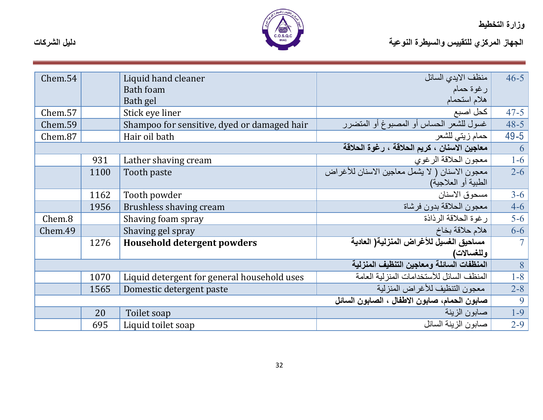

| Chem.54 |      | Liquid hand cleaner                         | منظف الابدي السائل                             | $46 - 5$       |
|---------|------|---------------------------------------------|------------------------------------------------|----------------|
|         |      | <b>Bath foam</b>                            | رغوة حمام                                      |                |
|         |      | Bath gel                                    | هلام استحمام                                   |                |
| Chem.57 |      | Stick eye liner                             | كحل اصبع                                       | $47 - 5$       |
| Chem.59 |      | Shampoo for sensitive, dyed or damaged hair | غسول للشعر الحساس أو المصبوغ أو المتضرر        | $48 - 5$       |
| Chem.87 |      | Hair oil bath                               | حمام زيتي للشعر                                | $49 - 5$       |
|         |      |                                             | معاجين الاسنان ، كريم الحلاقة ، رغوة الحلاقة   | 6              |
|         | 931  | Lather shaving cream                        | معجون الحلاقة الرغوي                           | $1-6$          |
|         | 1100 | Tooth paste                                 | معجون الاسنان ( لا يشمل معاجين الاسنان للأغراض | $2 - 6$        |
|         |      |                                             | الطبية أو العلاجية)                            |                |
|         | 1162 | Tooth powder                                | مسحوق الاسنان                                  | $3 - 6$        |
|         | 1956 | <b>Brushless shaving cream</b>              | معجون الحلاقة بدون فرشاة                       | $4 - 6$        |
| Chem.8  |      | Shaving foam spray                          | رغوة الحلاقة الر ذاذة                          | $5-6$          |
| Chem.49 |      | Shaving gel spray                           | هلام حلاقة بخاخ                                | $6 - 6$        |
|         | 1276 | <b>Household detergent powders</b>          | مساحيق الغسيل للأغراض المنزلية( العادية        | 7 <sup>1</sup> |
|         |      |                                             | وللغسالات)                                     |                |
|         |      |                                             | المنظفات السائلة ومعاجين التنظيف المنزلية      | 8              |
|         | 1070 | Liquid detergent for general household uses | المنظف السائل للأستخدامات المنزلية العامة      | $1 - 8$        |
|         | 1565 | Domestic detergent paste                    | معجون التنظيف للأغراض المنزلية                 | $2 - 8$        |
|         |      |                                             | صابون الحمام، صابون الاطفال ، الصابون السائل   | 9              |
|         | 20   | Toilet soap                                 | صابون الزينة                                   | $1-9$          |
|         | 695  | Liquid toilet soap                          | صبابون الزينة السائل                           | $2 - 9$        |
|         |      |                                             |                                                |                |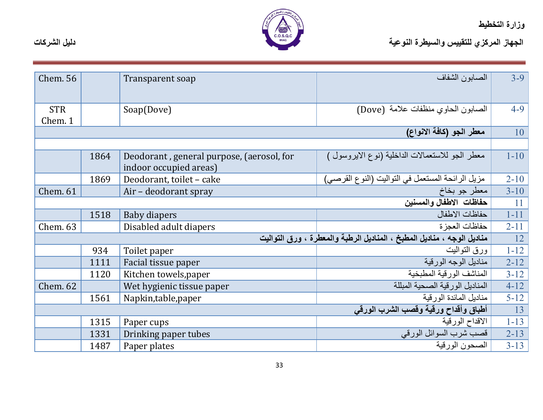

| <b>Chem. 56</b> |      | Transparent soap                          | الصابون الشفاف                                                         | $3 - 9$  |
|-----------------|------|-------------------------------------------|------------------------------------------------------------------------|----------|
|                 |      |                                           |                                                                        |          |
|                 |      |                                           |                                                                        |          |
| <b>STR</b>      |      | Soap(Dove)                                | الصابون الحاوي منظفات علامة (Dove)                                     | $4 - 9$  |
| Chem. 1         |      |                                           |                                                                        |          |
|                 |      |                                           | معطر الجو (كافة الانواع)                                               | 10       |
|                 |      |                                           |                                                                        |          |
|                 | 1864 | Deodorant, general purpose, (aerosol, for | معطر الجو للاستعمالات الداخلية (نوع الايروسول )                        | $1 - 10$ |
|                 |      | indoor occupied areas)                    |                                                                        |          |
|                 | 1869 | Deodorant, toilet - cake                  | مزيل الرائحة المستعمل في التواليت (النوع القرصي)                       | $2 - 10$ |
| <b>Chem. 61</b> |      | Air – deodorant spray                     | معطر جو بخاخ                                                           | $3 - 10$ |
|                 |      |                                           | حفاظات الاطفال والمسنين                                                | 11       |
|                 | 1518 | <b>Baby diapers</b>                       | حفاظات الاطفال                                                         | $1 - 11$ |
| Chem. 63        |      | Disabled adult diapers                    | حفاظات العجز ة                                                         | $2 - 11$ |
|                 |      |                                           | مناديل الوجه ، مناديل المطبخ ، المناديل الرطبة والمعطرة ، ورق التواليت | 12       |
|                 | 934  | Toilet paper                              | ورق التواليت                                                           | $1 - 12$ |
|                 | 1111 | Facial tissue paper                       | مناديل الوجه الورقية                                                   | $2 - 12$ |
|                 | 1120 | Kitchen towels, paper                     | المناشف الورقية المطبخية                                               | $3 - 12$ |
| Chem. 62        |      | Wet hygienic tissue paper                 | المناديل الور قية الصحية المبللة                                       | $4 - 12$ |
|                 | 1561 | Napkin, table, paper                      | مناديل المائدة الورقية                                                 | $5 - 12$ |
|                 |      |                                           | أطباق وأقداح ورقية وقصب الشرب الورقى                                   | 13       |
|                 | 1315 | Paper cups                                | الاقداح الورقية                                                        | $1 - 13$ |
|                 | 1331 | Drinking paper tubes                      | فصب شرب السوائل الورقي                                                 | $2 - 13$ |
|                 | 1487 | Paper plates                              | الصحون الورقية                                                         | $3 - 13$ |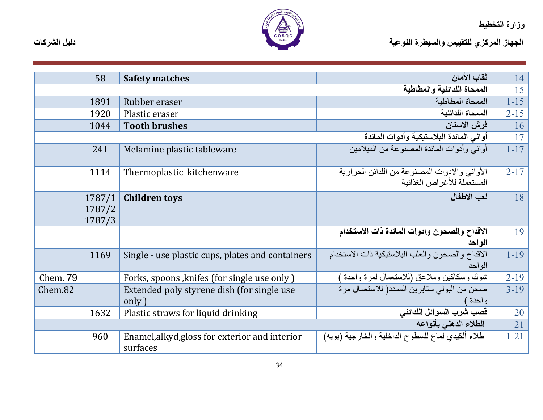

| دليل الشركات | <b>IRAQ</b> | الجهاز المركزي للتقييس والسيطرة النوعية |
|--------------|-------------|-----------------------------------------|
|              |             |                                         |

|          | 58                         | <b>Safety matches</b>                                      | ثقاب الأمان                                                                  | 14       |
|----------|----------------------------|------------------------------------------------------------|------------------------------------------------------------------------------|----------|
|          |                            |                                                            | الممحاة اللدائنية والمطاطية                                                  | 15       |
|          | 1891                       | Rubber eraser                                              | الممحاة المطاطبة                                                             | $1 - 15$ |
|          | 1920                       | Plastic eraser                                             | الممحاة اللدائنبة                                                            | $2 - 15$ |
|          | 1044                       | <b>Tooth brushes</b>                                       | فرش الاسنان                                                                  | 16       |
|          |                            |                                                            | أواني المائدة البلاستيكية وأدوات المائدة                                     | 17       |
|          | 241                        | Melamine plastic tableware                                 | أوانبي وأدوات المائدة المصنوعة من المبلامين                                  | $1 - 17$ |
|          | 1114                       | Thermoplastic kitchenware                                  | الأواني والادوات المصنوعة من اللدائن الحرارية<br>المستعملة للأغر اض الغذائية | $2 - 17$ |
|          | 1787/1<br>1787/2<br>1787/3 | <b>Children toys</b>                                       | لعب الاطفال                                                                  | 18       |
|          |                            |                                                            | الاقداح والصحون وادوات المائدة ذات الاستخدام<br>الو احد                      | 19       |
|          | 1169                       | Single - use plastic cups, plates and containers           | الاقداح والصحون والعلب البلاستيكية ذات الاستخدام<br>الو احد                  | $1 - 19$ |
| Chem. 79 |                            | Forks, spoons, knifes (for single use only)                | شوك وسكاكين وملاعق (للاستعمال لمرة واحدة                                     | $2 - 19$ |
| Chem.82  |                            | Extended poly styrene dish (for single use)<br>only)       | صحن من البولي ستايرين الممدد( للاستعمال مرة<br>واحدة                         | $3-19$   |
|          | 1632                       | Plastic straws for liquid drinking                         | قصب شرب السوائل اللدائني                                                     | 20       |
|          |                            |                                                            | الطلاء الدهنى بأنواعه                                                        | 21       |
|          | 960                        | Enamel, alkyd, gloss for exterior and interior<br>surfaces | طلاء ألكيدي لماع للسطوح الداخلية والخارجية (بويه)                            | $1 - 21$ |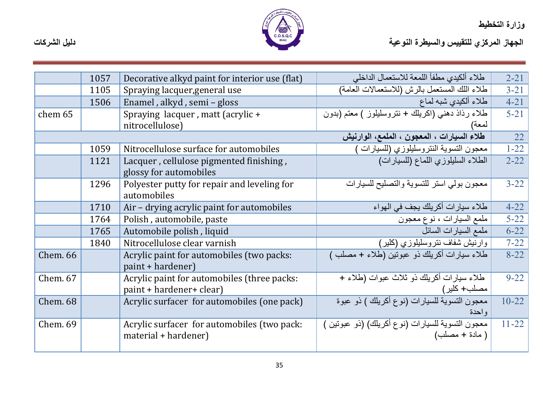

|                 | 1057 | Decorative alkyd paint for interior use (flat)                          | طلاء ألكيدي مطفأ اللمعة للاستعمال الداخلي                           | $2 - 21$  |
|-----------------|------|-------------------------------------------------------------------------|---------------------------------------------------------------------|-----------|
|                 | 1105 | Spraying lacquer, general use                                           | طلاء اللك المستعمل بالرش (للاستعمالات العامة)                       | $3 - 21$  |
|                 | 1506 | Enamel, alkyd, semi - gloss                                             | طلاء ألكيدي شبه لماع                                                | $4 - 21$  |
| chem 65         |      | Spraying lacquer, matt (acrylic +<br>nitrocellulose)                    | طلاء رذاذ دهني (اكريلك + نتروسليلوز ) معتم (بدون<br>لمعة)           | $5 - 21$  |
|                 |      |                                                                         | طلاء السيارات ، المعجون ، الملمع، الوارنيش                          | 22        |
|                 | 1059 | Nitrocellulose surface for automobiles                                  | معجون التسوية النتروسليلوزي (للسيارات ً                             | $1 - 22$  |
|                 | 1121 | Lacquer, cellulose pigmented finishing,<br>glossy for automobiles       | الطلاء السليلوزي اللماع (للسيارات)                                  | $2 - 22$  |
|                 | 1296 | Polyester putty for repair and leveling for<br>automobiles              | معجون بولمي استر للتسوية والتصليح للسيارات                          | $3 - 22$  |
|                 | 1710 | Air - drying acrylic paint for automobiles                              | طلاء سيارات أكريلك يجف في المهواء                                   | $4 - 22$  |
|                 | 1764 | Polish, automobile, paste                                               | ملمع السيارات ، نوع معجون                                           | $5 - 22$  |
|                 | 1765 | Automobile polish, liquid                                               | ملمع السيارات السائل                                                | $6 - 22$  |
|                 | 1840 | Nitrocellulose clear varnish                                            | وارنيش شفاف نتروسليلوزي (كلير)                                      | $7 - 22$  |
| <b>Chem. 66</b> |      | Acrylic paint for automobiles (two packs:<br>paint + hardener)          | طلاء سيارات أكريلك دو عبوتين (طلاء + مصلب )                         | $8 - 22$  |
| Chem. 67        |      | Acrylic paint for automobiles (three packs:<br>paint + hardener+ clear) | طلاء سيار ات أكريلك ذو ثلاث عبوات (طلاء +<br>مصلب+ كلير )           | $9 - 22$  |
| <b>Chem. 68</b> |      | Acrylic surfacer for automobiles (one pack)                             | معجون التسوية للسيارات (نوع أكريلك ) ذو عبوة<br>و احدة              | $10 - 22$ |
| Chem. 69        |      | Acrylic surfacer for automobiles (two pack:<br>material + hardener)     | معجون النّسوية للسيارات (نوع أكريلك) (ذو عبونين )<br>( مادة + مصلب) | $11 - 22$ |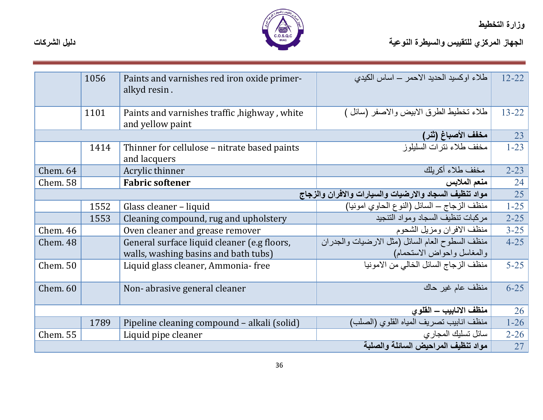

|                 | 1056 | Paints and varnishes red iron oxide primer-<br>alkyd resin.      | طلاء اوكسيد الحديد الاحمر – اساس الكيدي                | $12 - 22$ |
|-----------------|------|------------------------------------------------------------------|--------------------------------------------------------|-----------|
|                 | 1101 | Paints and varnishes traffic, highway, white<br>and yellow paint | طلاء تخطيط الطرق الابيض والاصفر (سائل )                | $13 - 22$ |
|                 |      |                                                                  | مخفف الأصباغ (ثنر)                                     | 23        |
|                 | 1414 | Thinner for cellulose – nitrate based paints<br>and lacquers     | مخفف طلاء نترات السليلوز                               | $1 - 23$  |
| Chem. 64        |      | Acrylic thinner                                                  | مخفف طلاء أكريلك                                       | $2 - 23$  |
| <b>Chem.</b> 58 |      | <b>Fabric softener</b>                                           | منعم الملابس                                           | 24        |
|                 |      |                                                                  | مواد تنظيف السجاد والارضيات والسيارات والافران والزجاج | 25        |
|                 | 1552 | Glass cleaner – liquid                                           | منظف الزجاج ــ السائل (النوع الحاوي امونيا)            | $1 - 25$  |
|                 | 1553 | Cleaning compound, rug and upholstery                            | مركبات تنظيف السجاد ومواد التنجيد                      | $2 - 25$  |
| <b>Chem. 46</b> |      | Oven cleaner and grease remover                                  | منظف الافران ومزبل الشحوم                              | $3 - 25$  |
| Chem. 48        |      | General surface liquid cleaner (e.g floors,                      | منظف السطوح العام السائل (مثل الارضيات والجدران        | $4 - 25$  |
|                 |      | walls, washing basins and bath tubs)                             | والمغاسل واحواض الاستحمام)                             |           |
| Chem. 50        |      | Liquid glass cleaner, Ammonia- free                              | منظف الزجاج السائل الخالي من الامونيا                  | $5 - 25$  |
| Chem. 60        |      | Non-abrasive general cleaner                                     | منظف عام غير حاك                                       | $6 - 25$  |
|                 |      |                                                                  | منظف الانابيب – القلوى                                 | 26        |
|                 | 1789 | Pipeline cleaning compound - alkali (solid)                      | منظف انابيب تصريف المياه القلوي (الصلب)                | $1 - 26$  |
| <b>Chem. 55</b> |      | Liquid pipe cleaner                                              | سائل تسليك المجارى                                     | $2 - 26$  |
|                 |      |                                                                  | مواد تنظيف المراحيض السائلة والصلبة                    | 27        |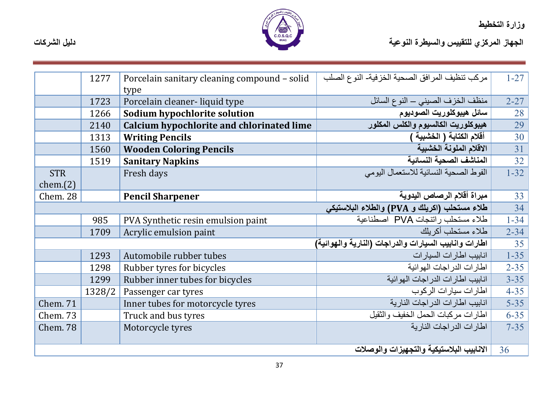

|                 | 1277   | Porcelain sanitary cleaning compound - solid | مركب تنظيف المرافق الصحية الخزفية- النوع الصلب        | $1 - 27$        |
|-----------------|--------|----------------------------------------------|-------------------------------------------------------|-----------------|
|                 |        | type                                         |                                                       |                 |
|                 | 1723   | Porcelain cleaner-liquid type                | منظف الخزف الصيني ــ النوع السائل                     | $2 - 27$        |
|                 | 1266   | Sodium hypochlorite solution                 | سائل هيبوكلوريت الصوديوم                              | 28              |
|                 | 2140   | Calcium hypochlorite and chlorinated lime    | هيبوكلوريت الكالسيوم والكلس المكلور                   | 29              |
|                 | 1313   | <b>Writing Pencils</b>                       | أقلام الكتابة ( الخشبية )                             | 30              |
|                 | 1560   | <b>Wooden Coloring Pencils</b>               | الاقلام الملونة الخشبية                               | $\overline{31}$ |
|                 | 1519   | <b>Sanitary Napkins</b>                      | المناشف الصحية النسائية                               | 32              |
| <b>STR</b>      |        | Fresh days                                   | الفوط الصحية النسائية للاستعمال اليومي                | $1 - 32$        |
| chem(2)         |        |                                              |                                                       |                 |
| Chem. 28        |        | <b>Pencil Sharpener</b>                      | مبراة أقلام الرصاص اليدوية                            | 33              |
|                 |        |                                              | طلاء مستحلب (اكريلك و PVA) والطلاء البلاستيكي         | $\overline{34}$ |
|                 | 985    | PVA Synthetic resin emulsion paint           | طلاء مستحلب راتنجات PVA اصطناعية                      | $1 - 34$        |
|                 | 1709   | Acrylic emulsion paint                       | طلاء مستحلب أكر يلك                                   | $2 - 34$        |
|                 |        |                                              | اطارات وانابيب السيارات والدراجات (النارية والهوائية) | 35              |
|                 | 1293   | Automobile rubber tubes                      | انابیب اطار ات السیار ات                              | $1 - 35$        |
|                 | 1298   | Rubber tyres for bicycles                    | اطار ات الدر اجات المهو ائية                          | $2 - 35$        |
|                 | 1299   | Rubber inner tubes for bicycles              | انابيب اطارات الدراجات الهوائية                       | $3 - 35$        |
|                 | 1328/2 | Passenger car tyres                          | اطارات سيارات الركوب                                  | $4 - 35$        |
| <b>Chem. 71</b> |        | Inner tubes for motorcycle tyres             | انابيب اطارات الدر اجات النارية                       | $5 - 35$        |
| Chem. 73        |        | Truck and bus tyres                          | اطارات مركبات الحمل الخفيف والنقيل                    | $6 - 35$        |
| <b>Chem. 78</b> |        | Motorcycle tyres                             | اطار ات الدر اجات النار بة                            | $7 - 35$        |
|                 |        |                                              |                                                       |                 |
|                 |        |                                              | الانابيب البلاستيكية والتجهيزات والوصلات              | 36              |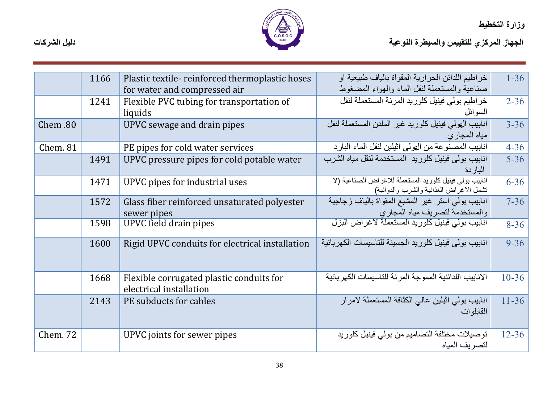

|          | 1166 | Plastic textile-reinforced thermoplastic hoses                      | خر اطيم اللدائن الحر ارية المقواة بالياف طبيعية او                                                 | $1 - 36$  |
|----------|------|---------------------------------------------------------------------|----------------------------------------------------------------------------------------------------|-----------|
|          |      | for water and compressed air                                        | صناعية والمستعملة لنقل الماء والهواء المضغوط                                                       |           |
|          | 1241 | Flexible PVC tubing for transportation of                           | خراطيم بولي فينيل كلوريد المرنة المستعملة لنقل                                                     | $2 - 36$  |
|          |      | liquids                                                             | السو ائل                                                                                           |           |
| Chem .80 |      | UPVC sewage and drain pipes                                         | انابيب الهولى فينيل كلوريد غير الملدن المستعملة لنقل<br>مياه المجار ي                              | $3 - 36$  |
| Chem. 81 |      | PE pipes for cold water services                                    | انابيب المصنوعة من الهولي اثيلين لنقل الماء البارد                                                 | $4 - 36$  |
|          | 1491 | UPVC pressure pipes for cold potable water                          | انابيب بولى فينيل كلوريد المستخدمة لنقل مياه الشرب<br>الباردة                                      | $5 - 36$  |
|          | 1471 | UPVC pipes for industrial uses                                      | انابيب بولي فينيل كلوريد المستعملة للاغراض الصناعية (لا<br>تشمل الاغراض الغذائية والشرب والدوائية) | $6 - 36$  |
|          | 1572 | Glass fiber reinforced unsaturated polyester<br>sewer pipes         | انابيب بولي استر غير المشبع المقواة بالياف زجاجية<br>والمستخدمة لتصريف مياه المجاري                | $7 - 36$  |
|          | 1598 | <b>UPVC</b> field drain pipes                                       | <u>انابيب بولي فينيل كلوريد المستعملة لاغراض البزل</u>                                             | $8 - 36$  |
|          | 1600 | Rigid UPVC conduits for electrical installation                     | انابيب بولى فينيل كلوريد الجسيئة للتاسيسات الكهربائية                                              | $9 - 36$  |
|          | 1668 | Flexible corrugated plastic conduits for<br>electrical installation | الانابيب اللدائنية المموجة المر نة للتاسيسات الكهر بائية                                           | $10 - 36$ |
|          | 2143 | PE subducts for cables                                              | انابيب بولى اثيلين عالى الكثافة المستعملة لامرار<br>القابلو ات                                     | $11 - 36$ |
| Chem. 72 |      | UPVC joints for sewer pipes                                         | توصيلات مختلفة التصاميم من بولي فينيل كلوريد<br>لتصريف المياه                                      | $12 - 36$ |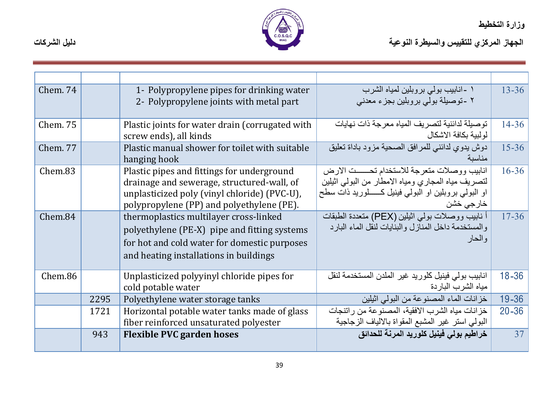

| Chem. 74        |      | 1- Polypropylene pipes for drinking water       | ۱ -انابیب بولی بروبلین لمیاه الشرب                      | $13 - 36$ |
|-----------------|------|-------------------------------------------------|---------------------------------------------------------|-----------|
|                 |      | 2- Polypropylene joints with metal part         | ۲ -توصیلة بولی بروبلین بجزء معدنی                       |           |
|                 |      |                                                 |                                                         |           |
| <b>Chem. 75</b> |      | Plastic joints for water drain (corrugated with | توصبلة لدائنية لتصريف المياه معرجة ذات نهايات           | $14 - 36$ |
|                 |      | screw ends), all kinds                          | لو لببة بكافة الاشكال                                   |           |
| <b>Chem. 77</b> |      | Plastic manual shower for toilet with suitable  | دوش يدوي لدائني للمرافق الصحية مزود باداة تعليق         | $15 - 36$ |
|                 |      | hanging hook                                    | مناسبة                                                  |           |
| Chem.83         |      | Plastic pipes and fittings for underground      | انابيب ووصلات متعرجة للاستخدام تحسست الارض              | $16 - 36$ |
|                 |      | drainage and sewerage, structured-wall, of      | لتصريف مياه المجاري ومياه الامطار من البولي اثيلين      |           |
|                 |      | unplasticized poly (vinyl chloride) (PVC-U),    | او البولمی بروبلین او البولمی فینیل کـــــلورید ذات سطح |           |
|                 |      | polypropylene (PP) and polyethylene (PE).       | خارجي خشن                                               |           |
| Chem.84         |      | thermoplastics multilayer cross-linked          | أ نابيب ووصلات بولمي اثيلين (PEX) متعددة الطبقات        | $17 - 36$ |
|                 |      | polyethylene (PE-X) pipe and fitting systems    | والمستخدمة داخل المنازل والبنايات لنقل الماء البار د    |           |
|                 |      | for hot and cold water for domestic purposes    | و الحار                                                 |           |
|                 |      | and heating installations in buildings          |                                                         |           |
|                 |      |                                                 |                                                         |           |
| Chem.86         |      | Unplasticized polyyinyl chloride pipes for      | انابيب بولي فينيل كلوريد غير الملدن المستخدمة لنقل      | $18 - 36$ |
|                 |      | cold potable water                              | مياه الشرب الباردة                                      |           |
|                 | 2295 | Polyethylene water storage tanks                | خزانات الماء المصنوعة من البولي اثيلين                  | 19-36     |
|                 | 1721 | Horizontal potable water tanks made of glass    | خز انات مياه الشرب الافقية، المصنوعة من راتنجات         | $20 - 36$ |
|                 |      | fiber reinforced unsaturated polyester          | البولمي استر غير المشبع المقواة بالالياف الزجاجية       |           |
|                 | 943  | <b>Flexible PVC garden hoses</b>                | خراطيم بولي فينيل كلوريد المرنة للحدائق                 | 37        |
|                 |      |                                                 |                                                         |           |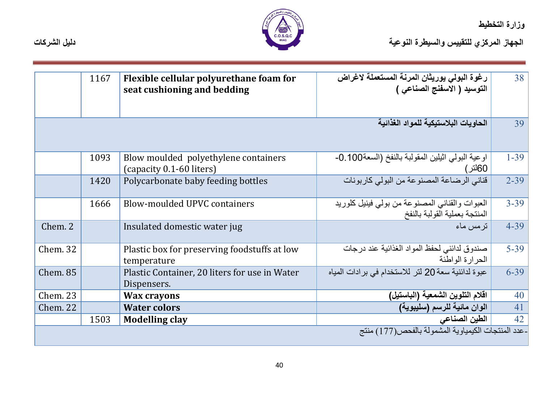

ور ارد المصطيحة<br>الجهاز المركزي للتقييس والسيطرة النوعية

|                 | 1167 | Flexible cellular polyurethane foam for<br>seat cushioning and bedding | رغوة البولي يوريثان المرنة المستعملة لاغراض<br>التوسيد ( الاسفنج الصناعي )      | 38       |
|-----------------|------|------------------------------------------------------------------------|---------------------------------------------------------------------------------|----------|
|                 |      |                                                                        | الحاويات البلاستيكية للمواد الغذائية                                            | 39       |
|                 |      |                                                                        |                                                                                 |          |
|                 | 1093 | Blow moulded polyethylene containers<br>(capacity 0.1-60 liters)       | اوعية البولِّي اثْيْلِين الْمقولْبة بالنَّفخ (السعة100.0-0<br>60لتر)            | $1 - 39$ |
|                 | 1420 | Polycarbonate baby feeding bottles                                     | قناني الرضاعة المصنوعة من البولي كاربونات                                       | $2 - 39$ |
|                 | 1666 | Blow-moulded UPVC containers                                           | العبوات والقناني المصنوعة من بولي فينيل كلوريد<br>المنتجة بعملية القولبة بالنفخ | $3 - 39$ |
| Chem. 2         |      | Insulated domestic water jug                                           | تر مس ماء                                                                       | $4 - 39$ |
| <b>Chem. 32</b> |      | Plastic box for preserving foodstuffs at low<br>temperature            | صندوق لدائني لحفظ المواد الغذائية عند درجات<br>الحرارة الواطئة                  | $5 - 39$ |
| <b>Chem. 85</b> |      | Plastic Container, 20 liters for use in Water<br>Dispensers.           | عبوة لدائنية سعة 20 لتر للاستخدام في برادات المياه                              | $6 - 39$ |
| <b>Chem. 23</b> |      | <b>Wax crayons</b>                                                     | اقلام التلوين الشمعية (الباستيل)                                                | 40       |
| Chem. 22        |      | <b>Water colors</b>                                                    | الوان مائية للرسم (سليبوية)                                                     | 41       |
|                 | 1503 | <b>Modelling clay</b>                                                  | الطين الصناعي                                                                   | 42       |
|                 |      |                                                                        | -عدد المنتجات الكيمياوية المشمولة بالفحص(177) منتج                              |          |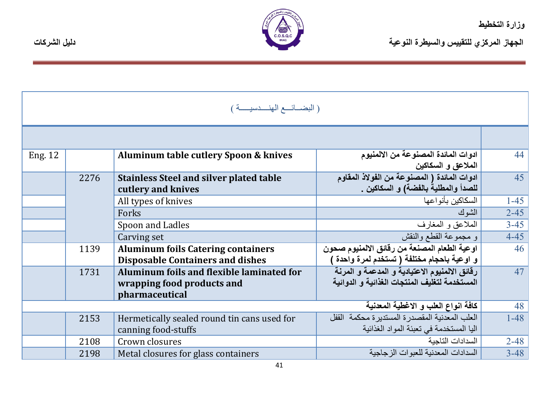



| (البضائسع الهنسدسيسة ) |      |                                                                      |                                                                                    |          |
|------------------------|------|----------------------------------------------------------------------|------------------------------------------------------------------------------------|----------|
|                        |      |                                                                      |                                                                                    |          |
| Eng. 12                |      | Aluminum table cutlery Spoon & knives                                | ادوات المائدة المصنوعة من الالمنيوم<br>الملاعق و السكاكين                          | 44       |
|                        | 2276 | <b>Stainless Steel and silver plated table</b><br>cutlery and knives | ادوات المائدة ( المصنوعة من الفولاذ المقاوم<br>للصدأ والمطلية بالفضة) و السكاكين . | 45       |
|                        |      | All types of knives                                                  | السكاكبن بأنو اعها                                                                 | $1 - 45$ |
|                        |      | Forks                                                                | الشو ك                                                                             | $2 - 45$ |
|                        |      | Spoon and Ladles                                                     | الملاعق و المغارف                                                                  | $3 - 45$ |
|                        |      | Carving set                                                          | و مجموعة القطع والنقش                                                              | $4 - 45$ |
|                        | 1139 | <b>Aluminum foils Catering containers</b>                            | اوعية الطعام المصنعة من رقائق الالمنيوم صحون                                       | 46       |
|                        |      | <b>Disposable Containers and dishes</b>                              | و اوعية باحجام مختلفة ( تستخدم لمرة واحدة )                                        |          |
|                        | 1731 | <b>Aluminum foils and flexible laminated for</b>                     | رقائق الالمنيوم الاعتيادية و المدعمة و المرنة                                      | 47       |
|                        |      | wrapping food products and                                           | المستخدمة لتغليف المنتجات الغذائية و الدوائية                                      |          |
|                        |      | pharmaceutical                                                       |                                                                                    |          |
|                        |      |                                                                      | كافة انواع العلب و الاغطية المعدنية                                                | 48       |
|                        | 2153 | Hermetically sealed round tin cans used for                          | العلب المعدنية المقصدر ة المستدير ة محكمة القفل                                    | $1 - 48$ |
|                        |      | canning food-stuffs                                                  | اليا المستخدمة في تعبئة المواد الغذائية                                            |          |
|                        | 2108 | Crown closures                                                       | السدادات التاجبة                                                                   | $2 - 48$ |
|                        | 2198 | Metal closures for glass containers                                  | السدادات المعدنية للعبوات الز جاجبة                                                | $3 - 48$ |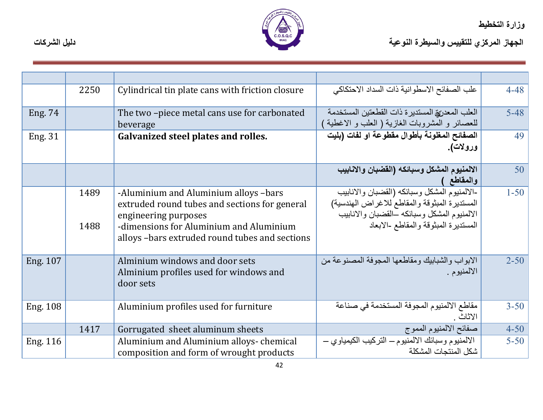

|                 | 2250         | Cylindrical tin plate cans with friction closure                                                                                                                                                            | علب الصفائح الاسطوانية ذات السداد الاحتكاكي                                                                                                                                          | $4 - 48$ |
|-----------------|--------------|-------------------------------------------------------------------------------------------------------------------------------------------------------------------------------------------------------------|--------------------------------------------------------------------------------------------------------------------------------------------------------------------------------------|----------|
| Eng. 74         |              | The two-piece metal cans use for carbonated<br>beverage                                                                                                                                                     | العلب المعدريق المستدير ة ذات القطعتين المستخدمة<br>للعصائر و المشروبات الغازية ( العلب و الاغطية                                                                                    | $5 - 48$ |
| Eng. 31         |              | <b>Galvanized steel plates and rolles.</b>                                                                                                                                                                  | الصفائح المغلونة بأطوال مقطوعة او لفات (بليت<br>ورولات).                                                                                                                             | 49       |
|                 |              |                                                                                                                                                                                                             | الالمنيوم المشكل وسبائكه (الفضبان والانابيب<br>والمقاطع                                                                                                                              | 50       |
|                 | 1489<br>1488 | -Aluminium and Aluminium alloys -bars<br>extruded round tubes and sections for general<br>engineering purposes<br>-dimensions for Aluminium and Aluminium<br>alloys -bars extruded round tubes and sections | -الالمنيوم المشكل وسبائكه (القضبان والانابيب<br>المستديرة المبثوقة والمقاطع للاغراض الهندسية)<br>الالمنيوم المشكل وسبائكه ـالقضبان والانابيب<br>المستديرة المبثوقة والمقاطع -الابعاد | $1 - 50$ |
| Eng. 107        |              | Alminium windows and door sets<br>Alminium profiles used for windows and<br>door sets                                                                                                                       | الابواب والشبابيك ومقاطعها المجوفة المصنوعة من<br>الالمنيوم .                                                                                                                        | $2 - 50$ |
| <b>Eng. 108</b> |              | Aluminium profiles used for furniture                                                                                                                                                                       | مقاطع الالمنبوم المجوفة المستخدمة في صناعة<br>الاثاث .                                                                                                                               | $3 - 50$ |
|                 | 1417         | Gorrugated sheet aluminum sheets                                                                                                                                                                            | صفائح الالمنيوم المموج                                                                                                                                                               | $4 - 50$ |
| Eng. 116        |              | Aluminium and Aluminium alloys-chemical<br>composition and form of wrought products                                                                                                                         | الالمنيوم وسبائك الالمنيوم – التركيب الكيمياوي –<br>شكل المنتجات المشكلة                                                                                                             | $5 - 50$ |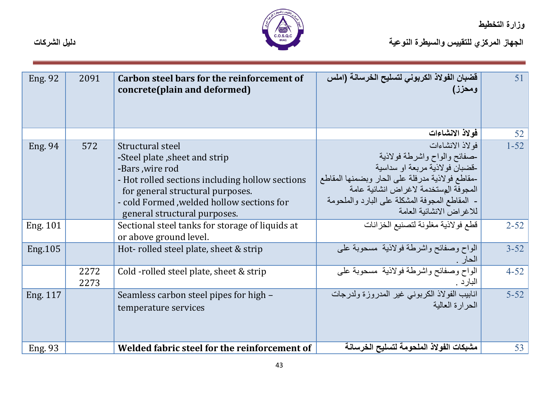

| <b>Eng. 92</b>  | 2091         | Carbon steel bars for the reinforcement of<br>concrete(plain and deformed)                                                                                                                                                                | قضبان الفولاذ الكربوني لتسليح الخرسانة (املس<br>ومحزز)                                                                                                                                                                                                         | 51       |
|-----------------|--------------|-------------------------------------------------------------------------------------------------------------------------------------------------------------------------------------------------------------------------------------------|----------------------------------------------------------------------------------------------------------------------------------------------------------------------------------------------------------------------------------------------------------------|----------|
|                 |              |                                                                                                                                                                                                                                           | فولاذ الانشاءات                                                                                                                                                                                                                                                | 52       |
| <b>Eng. 94</b>  | 572          | Structural steel<br>-Steel plate, sheet and strip<br>-Bars, wire rod<br>- Hot rolled sections including hollow sections<br>for general structural purposes.<br>- cold Formed , welded hollow sections for<br>general structural purposes. | فولاذ الانشاءات<br>حمفائح والواح واشرطة فولاذية<br>-قضبان فو لاذية مر بعة او سداسية<br>-مقاطع فولاذية مدرفلة على الحار وبضمنها المقاطع<br>المجوفة المستخدمة لاغراض انشائية عامة<br>- المقاطع المجوفة المشكلة على البارد والملحومة<br>للاغر اض الانشائية العامة | $1 - 52$ |
| <b>Eng. 101</b> |              | Sectional steel tanks for storage of liquids at<br>or above ground level.                                                                                                                                                                 | قطع فولاذية مغلونة لتصنيع الخزانات                                                                                                                                                                                                                             | $2 - 52$ |
| Eng. 105        |              | Hot-rolled steel plate, sheet & strip                                                                                                                                                                                                     | الواح وصفائح واشرطة فولاذية مسحوبة على<br>الحار                                                                                                                                                                                                                | $3 - 52$ |
|                 | 2272<br>2273 | Cold -rolled steel plate, sheet & strip                                                                                                                                                                                                   | الواح وصفائح واشرطة فولاذية مسحوبة على<br>البارد .                                                                                                                                                                                                             | $4 - 52$ |
| Eng. 117        |              | Seamless carbon steel pipes for high –<br>temperature services                                                                                                                                                                            | انابيب الفولاذ الكربوني غير المدروزة ولدرجات<br>الحرارة العالبة                                                                                                                                                                                                | $5 - 52$ |
| Eng. 93         |              | Welded fabric steel for the reinforcement of                                                                                                                                                                                              | مشبكات الفولاذ الملحومة لتسليح الخرسانة                                                                                                                                                                                                                        | 53       |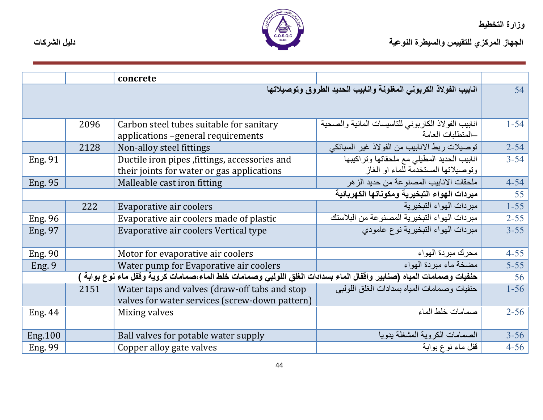

|                                              |      | concrete                                                                                                           |                                                                                    |          |
|----------------------------------------------|------|--------------------------------------------------------------------------------------------------------------------|------------------------------------------------------------------------------------|----------|
|                                              |      |                                                                                                                    | انابيب الفولاذ الكربوني المغلونة وانابيب الحديد الطروق وتوصيلاتها                  | 54       |
|                                              | 2096 | Carbon steel tubes suitable for sanitary<br>applications -general requirements                                     | انابيب الفولاذ الكاربوني للتاسيسات المائية والصحية<br>المتطلبات العامة             | $1 - 54$ |
|                                              | 2128 | Non-alloy steel fittings                                                                                           | توصيلات ربط الانابيب من الفولاذ غير السبائكي                                       | $2 - 54$ |
| <b>Eng. 91</b>                               |      | Ductile iron pipes, fittings, accessories and<br>their joints for water or gas applications                        | انابيب الحديد المطيلي مع ملحقاتها وتراكيبها<br>وتوصيلاتها المستخدمة للماء او الغاز | $3 - 54$ |
| <b>Eng. 95</b>                               |      | Malleable cast iron fitting                                                                                        | ملحقات الانابيب المصنوعة من حديد الز هر                                            | $4 - 54$ |
| مبردات الهواع التبخيرية ومكوناتها الكهربائية |      |                                                                                                                    | 55                                                                                 |          |
|                                              | 222  | Evaporative air coolers                                                                                            | مبر دات الهو اء التبخير بـة                                                        | $1 - 55$ |
| <b>Eng. 96</b>                               |      | Evaporative air coolers made of plastic                                                                            | مبردات الهواء التبخيرية المصنوعة من البلاستك                                       | $2 - 55$ |
| <b>Eng. 97</b>                               |      | Evaporative air coolers Vertical type                                                                              | مبردات الهواء التبخيرية نوع عامودى                                                 | $3 - 55$ |
| <b>Eng. 90</b>                               |      | Motor for evaporative air coolers                                                                                  | محرك مبر دة الهواء                                                                 | $4 - 55$ |
| Eng. 9                                       |      | Water pump for Evaporative air coolers                                                                             | مضخة ماء مبردة الهواء                                                              | $5 - 55$ |
|                                              |      | حنفيات وصمامات المياه (صنابير واقفال الماء بسدادات الغلق اللولبي وصمامات خلط الماء،صمامات كروية وقفل ماء نوع بوابة |                                                                                    | 56       |
|                                              | 2151 | Water taps and valves (draw-off tabs and stop<br>valves for water services (screw-down pattern)                    | حنفيات وصمامات المياه بسدادات الغلق اللولبي                                        | $1 - 56$ |
| <b>Eng. 44</b>                               |      | Mixing valves                                                                                                      | صمامات خلط الماء                                                                   | $2 - 56$ |
| <b>Eng.100</b>                               |      | Ball valves for potable water supply                                                                               | الصمامات الكروية المشغلة بدويا                                                     | $3 - 56$ |
| Eng. 99                                      |      | Copper alloy gate valves                                                                                           | قفل ماء نوع بوابة                                                                  | $4 - 56$ |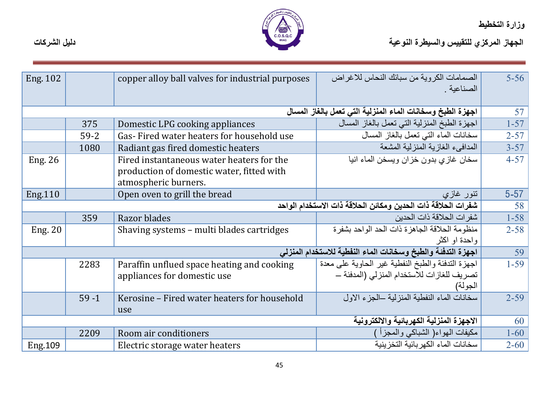

| Eng. 102       |          | copper alloy ball valves for industrial purposes                                                               | الصمامات الكروية من سبائك النحاس للاغر اض<br>الصناعية .                                                      | $5-56$   |
|----------------|----------|----------------------------------------------------------------------------------------------------------------|--------------------------------------------------------------------------------------------------------------|----------|
|                |          |                                                                                                                | اجهزة الطبخ وسخانات الماء المنزلية التي تعمل بالغاز المسال                                                   | 57       |
|                | 375      | Domestic LPG cooking appliances                                                                                | اجهزة الطبخ المنزلية التي تعمل بالغاز المسال                                                                 | $1 - 57$ |
|                | $59 - 2$ | Gas-Fired water heaters for household use                                                                      | سخانات الماء التي تعمل بالغاز المسال                                                                         | $2 - 57$ |
|                | 1080     | Radiant gas fired domestic heaters                                                                             | المدافىء الغازية المنز لية المشعة                                                                            | $3 - 57$ |
| <b>Eng. 26</b> |          | Fired instantaneous water heaters for the<br>production of domestic water, fitted with<br>atmospheric burners. | سخان غازي بدون خزان ويسخن الماء انيا                                                                         | $4 - 57$ |
| Eng.110        |          | Open oven to grill the bread                                                                                   | تنور غاز <i>ې</i>                                                                                            | $5-57$   |
|                |          |                                                                                                                | شفرات الحلاقة ذات الحدين ومكائن الحلاقة ذات الاستخدام الواحد                                                 | 58       |
|                | 359      | Razor blades                                                                                                   | شفر ات الحلاقة ذات الحدبن                                                                                    | $1 - 58$ |
| <b>Eng. 20</b> |          | Shaving systems – multi blades cartridges                                                                      | منظومة الحلاقة الجاهزة ذات الحد الواحد بشفرة<br>وإحدة او اكثر                                                | $2 - 58$ |
|                |          |                                                                                                                | اجهزة التدفئة والطبخ وسخانات الماء النفطية للاستخدام المنزلي                                                 | 59       |
|                | 2283     | Paraffin unflued space heating and cooking<br>appliances for domestic use                                      | اجهزة التدفئة والطبخ النفطية غير الحاوية على معدة<br>تصريف للغازات للاستخدام المنزلي (المدفئة ـــ<br>الجولة) | $1 - 59$ |
|                | $59 - 1$ | Kerosine - Fired water heaters for household<br>use                                                            | سخانات الماء النفطية المنز لية –الجزء الاول                                                                  | $2 - 59$ |
|                |          |                                                                                                                | الاجهزة المنزلية الكهربائية والالكترونية                                                                     | 60       |
|                | 2209     | Room air conditioners                                                                                          | مكيفات المهواء( الشباكي والمجزأ )                                                                            | $1 - 60$ |
| Eng.109        |          | Electric storage water heaters                                                                                 | سخانات الماء الكهر بائية التخز ينية                                                                          | $2 - 60$ |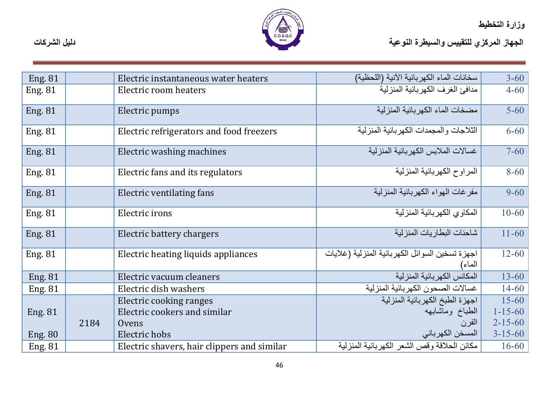- 1



| دليل الشركات | C.O.S.Q.C | الجهاز المركزي للتقييس والسيطرة النوعية |
|--------------|-----------|-----------------------------------------|
|              |           |                                         |

| <b>Eng. 81</b> |      | Electric instantaneous water heaters        | سخانات الماء الكهربائية الآنية (اللحظية)                  | $3 - 60$      |
|----------------|------|---------------------------------------------|-----------------------------------------------------------|---------------|
| <b>Eng. 81</b> |      | Electric room heaters                       | مدافئ الغرف الكهر بائية المنز لية                         | $4 - 60$      |
| <b>Eng. 81</b> |      | Electric pumps                              | مضخات الماء الكهر بائية المنز لية                         | $5 - 60$      |
| <b>Eng. 81</b> |      | Electric refrigerators and food freezers    | الثلاجات و المجمدات الكهر بائية المنز لية                 | $6 - 60$      |
| <b>Eng. 81</b> |      | Electric washing machines                   | غسالات الملابس الكهر بائية المنز لية                      | $7 - 60$      |
| <b>Eng. 81</b> |      | Electric fans and its regulators            | المراوح الكهربائية المنزلية                               | $8 - 60$      |
| <b>Eng. 81</b> |      | <b>Electric ventilating fans</b>            | مفر غات الهواء الكهر بائية المنز لية                      | $9 - 60$      |
| <b>Eng. 81</b> |      | Electric irons                              | المكاوى الكهربائية المنزلية                               | $10 - 60$     |
| <b>Eng. 81</b> |      | Electric battery chargers                   | شاحنات البطار بات المنز لية                               | $11 - 60$     |
| <b>Eng. 81</b> |      | Electric heating liquids appliances         | اجهزة تسخين السوائل الكهربائية المنزلية (غلايات<br>الماء) | $12 - 60$     |
| <b>Eng. 81</b> |      | Electric vacuum cleaners                    | المكانس الكهربائية المنزلية                               | $13 - 60$     |
| <b>Eng. 81</b> |      | Electric dish washers                       | غسالات الصحون الكهربائية المنزلية                         | $14 - 60$     |
|                |      | Electric cooking ranges                     | اجهزة الطبخ الكهربائية المنزلية                           | $15 - 60$     |
| Eng. 81        |      | Electric cookers and similar                | الطباخ وماشابهه                                           | $1 - 15 - 60$ |
|                | 2184 | Ovens                                       | الفرن                                                     | $2 - 15 - 60$ |
| <b>Eng. 80</b> |      | Electric hobs                               | المسخن الكهربائي                                          | $3 - 15 - 60$ |
| Eng. 81        |      | Electric shavers, hair clippers and similar | مكائن الحلاقة وقص الشعر الكهربائية المنزلية               | $16 - 60$     |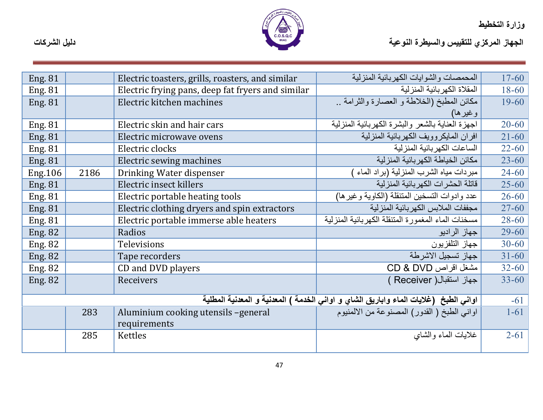

الجهاز المركزي للتقييس والسيطرة النوعية<br>الجهاز المركزي للتقييس والسيطرة النوعية

| <b>Eng. 81</b> |      | Electric toasters, grills, roasters, and similar  | المحمصات والشوابات الكهر بائية المنزلية                                              | $17 - 60$ |
|----------------|------|---------------------------------------------------|--------------------------------------------------------------------------------------|-----------|
| <b>Eng. 81</b> |      | Electric frying pans, deep fat fryers and similar | المقلاة الكهر بائية المنز لية                                                        | $18 - 60$ |
| <b>Eng. 81</b> |      | Electric kitchen machines                         | مكائن المطبخ (الخلاطة و العصارة والثرامة                                             | $19 - 60$ |
|                |      |                                                   | و غیر ها)                                                                            |           |
| <b>Eng. 81</b> |      | Electric skin and hair cars                       | اجهزة العناية بالشعر والبشرة الكهربائية المنزلية                                     | $20 - 60$ |
| <b>Eng. 81</b> |      | Electric microwave ovens                          | افران المايكروويف الكهر بائية المنزلية                                               | $21 - 60$ |
| <b>Eng. 81</b> |      | Electric clocks                                   | الساعات الكهر بائية المنز لية                                                        | $22 - 60$ |
| <b>Eng. 81</b> |      | Electric sewing machines                          | مكائن الخياطة الكهر بائية المنز لية                                                  | $23 - 60$ |
| <b>Eng.106</b> | 2186 | Drinking Water dispenser                          | مبردات مياه الشرب المنزلية (براد الماء                                               | $24 - 60$ |
| <b>Eng. 81</b> |      | Electric insect killers                           | قاتلة الحشر ات الكهر بائية المنز لية                                                 | $25 - 60$ |
| <b>Eng. 81</b> |      | Electric portable heating tools                   | عدد وادوات التسخين المتنقلة (الكاوية وغير ها)                                        | $26 - 60$ |
| <b>Eng. 81</b> |      | Electric clothing dryers and spin extractors      | مجففات الملابس الكهر بائية المنز لية                                                 | $27 - 60$ |
| <b>Eng. 81</b> |      | Electric portable immerse able heaters            | مسخنات الماء المغمور ة المتنقلة الكهر بائية المنز لية                                | $28 - 60$ |
| <b>Eng. 82</b> |      | Radios                                            | جهاز الراديو                                                                         | $29 - 60$ |
| Eng. 82        |      | Televisions                                       | جهاز التلفزيون                                                                       | $30 - 60$ |
| <b>Eng. 82</b> |      | Tape recorders                                    | جهاز تسجيل الاشرطة                                                                   | $31 - 60$ |
| <b>Eng. 82</b> |      | CD and DVD players                                | مشغل اقراص CD & DVD                                                                  | $32 - 60$ |
| <b>Eng. 82</b> |      | <b>Receivers</b>                                  | جهاز استقبال ( Receiver )                                                            | $33 - 60$ |
|                |      |                                                   |                                                                                      |           |
|                |      |                                                   | اواني الطبخ (غلايات الماء واباريق الشاي و اواني الخدمة ) المعدنية و المعدنية المطلية | $-61$     |
|                | 283  | Aluminium cooking utensils -general               | اواني الطبخ ( القدور) المصنوعة من الالمنيوم                                          | $1 - 61$  |
|                |      | requirements                                      |                                                                                      |           |
|                | 285  | Kettles                                           | غلايات الماء والشاى                                                                  | $2 - 61$  |
|                |      |                                                   |                                                                                      |           |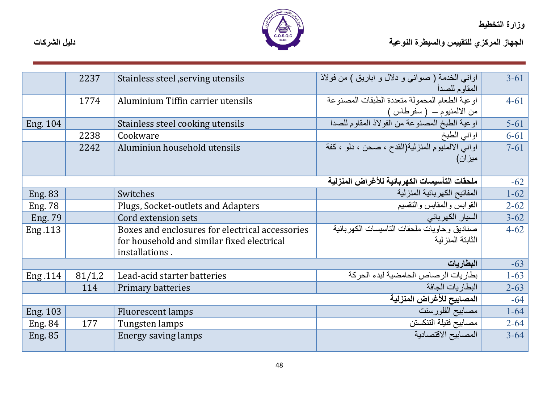

|                 | 2237   | Stainless steel, serving utensils                                                                               | اواني الخدمة ( صواني و دلال و اباريق ) من فولاذ<br>المقاوم للصدأ           | $3 - 61$ |
|-----------------|--------|-----------------------------------------------------------------------------------------------------------------|----------------------------------------------------------------------------|----------|
|                 | 1774   | Aluminium Tiffin carrier utensils                                                                               | اوعية الطعام المحمولة متعددة الطبقات المصنوعة<br>من الالمنيوم – ( سفرطاس ) | $4 - 61$ |
| <b>Eng. 104</b> |        | Stainless steel cooking utensils                                                                                | اوعية الطبخ المصنوعة من الفولاذ المقاوم للصدا                              | $5 - 61$ |
|                 | 2238   | Cookware                                                                                                        | اواني الطبخ                                                                | $6 - 61$ |
|                 | 2242   | Aluminiun household utensils                                                                                    | اواني الالمنيوم المنزلية(القدح ، صحن ، دلو ، كفة<br>میز ان)                | $7 - 61$ |
|                 |        |                                                                                                                 | ملحقات التأسيسات الكهربائية للأغراض المنزلية                               | $-62$    |
| <b>Eng. 83</b>  |        | Switches                                                                                                        | المفاتيح الكهربائية المنزلية                                               | $1 - 62$ |
| <b>Eng. 78</b>  |        | Plugs, Socket-outlets and Adapters                                                                              | القوابس والمقابس والنقسيم                                                  | $2 - 62$ |
| Eng. 79         |        | Cord extension sets                                                                                             | السيار الكهربائي                                                           | $3 - 62$ |
| Eng.113         |        | Boxes and enclosures for electrical accessories<br>for household and similar fixed electrical<br>installations. | صناديق وحاويات ملحقات التاسيسات الكهر بائية<br>الثابتة المنز لبة           | $4 - 62$ |
|                 |        |                                                                                                                 | البطاريات                                                                  | $-63$    |
| Eng.114         | 81/1,2 | Lead-acid starter batteries                                                                                     | بطاريات الرصاص الحامضية لبدء الحركة                                        | $1 - 63$ |
|                 | 114    | Primary batteries                                                                                               | البطار يات الجافة                                                          | $2 - 63$ |
|                 |        |                                                                                                                 | المصابيح للأغراض المنزلية                                                  | $-64$    |
| Eng. 103        |        | <b>Fluorescent lamps</b>                                                                                        | مصابيح الفلورسنت                                                           | $1 - 64$ |
| <b>Eng. 84</b>  | 177    | Tungsten lamps                                                                                                  | مصابيح فتيلة التنكستن                                                      | $2 - 64$ |
| <b>Eng. 85</b>  |        | Energy saving lamps                                                                                             | المصابيح الاقتصادية                                                        | $3 - 64$ |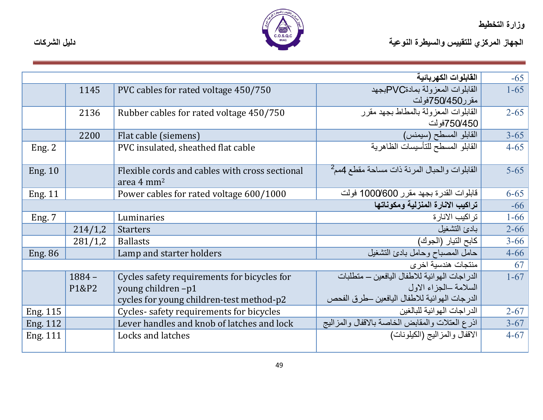

|                                   |          |                                                | القابلوات الكهربائية                                     | $-65$    |
|-----------------------------------|----------|------------------------------------------------|----------------------------------------------------------|----------|
|                                   | 1145     | PVC cables for rated voltage 450/750           | القابلوات المعزولة بمادةPVCبجهد                          | $1 - 65$ |
|                                   |          |                                                | مقرر750/450فولت                                          |          |
|                                   | 2136     | Rubber cables for rated voltage 450/750        | القابلوات المعزولة بالمطاط بجهد مقرر                     | $2 - 65$ |
|                                   |          |                                                | 750/450فولت                                              |          |
|                                   | 2200     | Flat cable (siemens)                           | القابلو المسطح (سيمنس)                                   | $3 - 65$ |
| Eng. $2$                          |          | PVC insulated, sheathed flat cable             | القابلو المسطح للتأسيسات الظاهرية                        | $4 - 65$ |
|                                   |          |                                                |                                                          |          |
| <b>Eng. 10</b>                    |          | Flexible cords and cables with cross sectional | القابلوات والحبال المرنة ذات مساحة مقطع 4مم <sup>2</sup> | $5 - 65$ |
|                                   |          | area $4 \text{ mm}^2$                          |                                                          |          |
| <b>Eng. 11</b>                    |          | Power cables for rated voltage 600/1000        | قابلوات القدرة بجهد مقرر 1000/600 فولت                   | $6 - 65$ |
| تراكيب الانارة المنزلية ومكوناتها |          |                                                | $-66$                                                    |          |
| Eng. 7                            |          | Luminaries                                     | تر اكيب الانار ة                                         | $1 - 66$ |
|                                   | 214/1,2  | <b>Starters</b>                                | بادئ التشغيل                                             | $2 - 66$ |
|                                   | 281/1,2  | <b>Ballasts</b>                                | كابح التيار (الجوك)                                      | $3 - 66$ |
| <b>Eng. 86</b>                    |          | Lamp and starter holders                       | حامل المصباح وحامل بادئ التشغيل                          | $4 - 66$ |
|                                   |          |                                                | منتجات هندسية اخر ي                                      | 67       |
|                                   | $1884 -$ | Cycles safety requirements for bicycles for    | الدراجات الهوائية للاطفال اليافعين – متطلبات             | $1 - 67$ |
|                                   | P1&P2    | young children-p1                              | السلامة الجزاء الاول                                     |          |
|                                   |          | cycles for young children-test method-p2       | الدرجات الهوائية للاطفال اليافعين حطرق الفحص             |          |
| Eng. 115                          |          | Cycles-safety requirements for bicycles        | الدر اجات الهو ائية للبالغين                             | $2 - 67$ |
| Eng. 112                          |          | Lever handles and knob of latches and lock     | اذرع العتلات والمقابض الخاصة بالاقفال والمزاليج          | $3 - 67$ |
| Eng. 111                          |          | Locks and latches                              | الاقفال والمزاليج (الكيلونات)                            | $4 - 67$ |
|                                   |          |                                                |                                                          |          |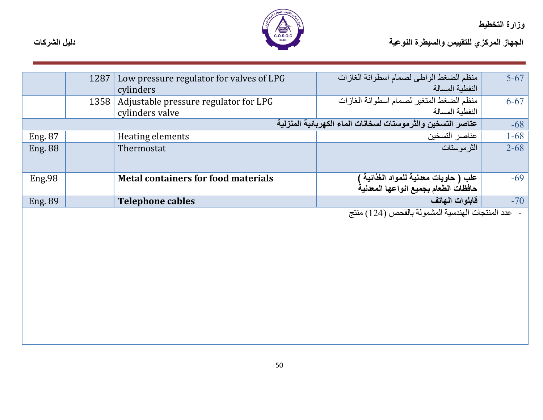

الجهاز المركزي للتقييس والسيطرة النوعية التوعية المسيطرة المتوجعة المسيطرة التوعية المسيطرة التوعية المسيطرة المسيطرة المسيطرة المسيطرة المسيطرة المسيطرة المسيطرة المسيطرة المسيطرة المسيطرة المسيطرة المسيطرة المسيطرة المس

|                | 1287 | Low pressure regulator for valves of LPG   | منظم الضغط الواطي لصمام اسطوانة الغازات                                                                                                                                                                                                                                                                           | $5-67$   |
|----------------|------|--------------------------------------------|-------------------------------------------------------------------------------------------------------------------------------------------------------------------------------------------------------------------------------------------------------------------------------------------------------------------|----------|
|                |      | cylinders                                  | النفطبة المسالة                                                                                                                                                                                                                                                                                                   |          |
|                |      | 1358 Adjustable pressure regulator for LPG | منظم الضغط المتغير لصمام اسطوانة الغازات                                                                                                                                                                                                                                                                          | $6 - 67$ |
|                |      | cylinders valve                            | النفطية المسالة                                                                                                                                                                                                                                                                                                   |          |
|                |      |                                            | عتاصر التسخين والثرموستات لسخانات الماء الكهربائية المنزلية                                                                                                                                                                                                                                                       | $-68$    |
| Eng. 87        |      | Heating elements                           | عناصر التسخين                                                                                                                                                                                                                                                                                                     | $1 - 68$ |
| <b>Eng. 88</b> |      | Thermostat                                 | الثر موستات                                                                                                                                                                                                                                                                                                       | $2 - 68$ |
|                |      |                                            |                                                                                                                                                                                                                                                                                                                   |          |
|                |      |                                            |                                                                                                                                                                                                                                                                                                                   |          |
| Eng.98         |      | <b>Metal containers for food materials</b> |                                                                                                                                                                                                                                                                                                                   | $-69$    |
|                |      |                                            | علب ( حاويات معدنية للمواد الغذائية )<br>حافظات الطعام بجميع انواعها المعدنية                                                                                                                                                                                                                                     |          |
| <b>Eng. 89</b> |      | <b>Telephone cables</b>                    | فابلوات الهاتف                                                                                                                                                                                                                                                                                                    | $-70$    |
|                |      |                                            | $\mathcal{L}$ and $\mathcal{L}$ and $\mathcal{L}$ and $\mathcal{L}$ is the set of $\mathcal{L}$ and $\mathcal{L}$ and $\mathcal{L}$ and $\mathcal{L}$ and $\mathcal{L}$ and $\mathcal{L}$ and $\mathcal{L}$ and $\mathcal{L}$ and $\mathcal{L}$ and $\mathcal{L}$ and $\mathcal{L}$ and $\mathcal{L}$ and $\math$ |          |

عدد المنتجات الهندسية المشمولة بالفحص (124) منتج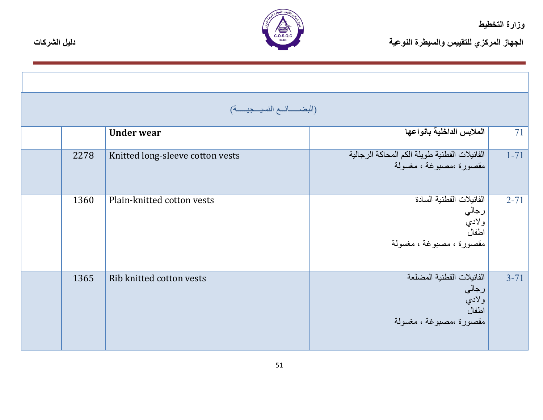

|      | (البضـــائــع النسيــجيــــة)    |                                                                                 |          |
|------|----------------------------------|---------------------------------------------------------------------------------|----------|
|      | <b>Under wear</b>                | الملابس الداخلية بانواعها                                                       | 71       |
| 2278 | Knitted long-sleeve cotton vests | الفانيلات القطنية طويلة الكم المحاكة الرجالية<br>مقصورة ،مصبوغة ، مغسولة        | $1 - 71$ |
| 1360 | Plain-knitted cotton vests       | الفانيلات القطنية السادة<br>رجالي<br>ولادي<br>اطفال<br>مقصورة ، مصبوغة ، مغسولة | $2 - 71$ |
| 1365 | Rib knitted cotton vests         | الفانيلات القطنية المضلعة<br>رجالي<br>ولادي<br>اطفال<br>مقصورة ،مصبوغة ، مغسولة | $3 - 71$ |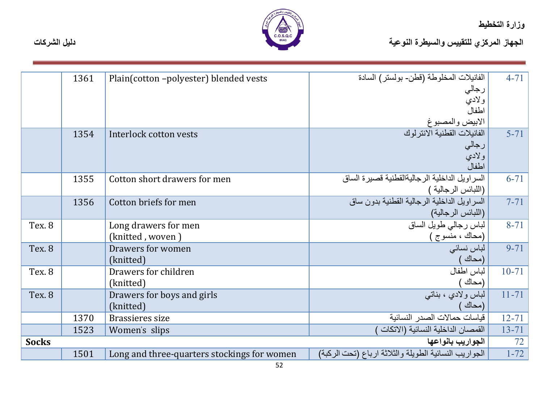

|                    | 1361 | Plain(cotton-polyester) blended vests       | الفانيلات المخلوطة (قطن- بولستر) السادة               | $4 - 71$  |
|--------------------|------|---------------------------------------------|-------------------------------------------------------|-----------|
|                    |      |                                             | رجالي                                                 |           |
|                    |      |                                             | ولادي                                                 |           |
|                    |      |                                             | اطفال                                                 |           |
|                    |      |                                             | الابيض والمصبوغ<br>الفانيلات القطنية الانترلوك        |           |
|                    | 1354 | Interlock cotton vests                      |                                                       | $5 - 71$  |
|                    |      |                                             | رجالي                                                 |           |
|                    |      |                                             | ولادي                                                 |           |
|                    |      |                                             | اطفال                                                 |           |
|                    | 1355 | Cotton short drawers for men                | السراويل الداخلية الرجاليةالقطنية قصبرة الساق         | $6 - 71$  |
|                    |      |                                             | (اللبائس الرجالية )                                   |           |
|                    | 1356 | Cotton briefs for men                       | السر اويل الداخلية الرجالية القطنية بدون ساق          | $7 - 71$  |
|                    |      |                                             | (اللبائس الرجالية)                                    |           |
| Tex. 8             |      | Long drawers for men                        | لباس رجالي طويل الساق                                 | $8 - 71$  |
|                    |      | (knitted, woven)                            | (محاك ، منسوج )                                       |           |
| Tex <sub>.</sub> 8 |      | Drawers for women                           | لباس نسائى                                            | $9 - 71$  |
|                    |      | (knitted)                                   | (محاك )                                               |           |
| Tex. 8             |      | Drawers for children                        | لباس اطفال                                            | $10 - 71$ |
|                    |      | (knitted)                                   | (محاك                                                 |           |
| Tex. 8             |      | Drawers for boys and girls                  | لباس ولادي ، بناتبي                                   | $11 - 71$ |
|                    |      | (knitted)                                   | (محاك                                                 |           |
|                    | 1370 | Brassieres size                             | فياسات حمالات الصدر النسائية                          | $12 - 71$ |
|                    | 1523 | Women's slips                               | القمصان الداخلية النسائية (الاتكات                    | $13 - 71$ |
| <b>Socks</b>       |      |                                             | الجواريب بانواعها                                     | 72        |
|                    | 1501 | Long and three-quarters stockings for women | الجواريب النسائية الطويلة والثلاثة ارباع (تحت الركبة) | $1 - 72$  |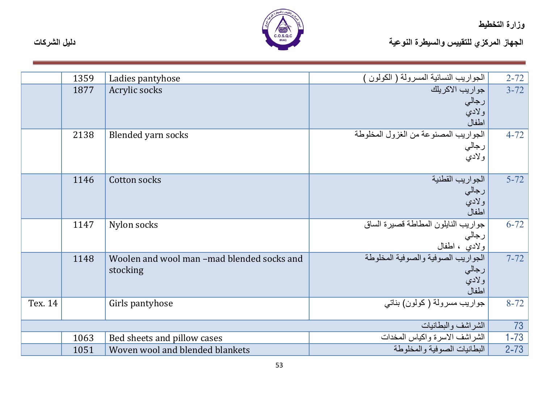

|         | 1359 | Ladies pantyhose                                       | الجواريب النسائية المسرولة ( الكولون )                                    | $2 - 72$ |
|---------|------|--------------------------------------------------------|---------------------------------------------------------------------------|----------|
|         | 1877 | Acrylic socks                                          | <mark>  جواريب الاكريلك</mark><br>رجالي<br>ولادي<br>اطفال                 | $3 - 72$ |
|         | 2138 | Blended yarn socks                                     | الجواريب المصنوعة من الغزول المخلوطة<br>رجالي<br>ولادي                    | $4 - 72$ |
|         | 1146 | Cotton socks                                           | الجواريب القطنية<br>رجالي<br>ولادي<br>اطفال                               | $5 - 72$ |
|         | 1147 | Nylon socks                                            | جواريب النايلون المطاطة قصيرة الساق<br>رجال <sub>ي</sub><br>ولادي ، اطفال | $6 - 72$ |
|         | 1148 | Woolen and wool man -mad blended socks and<br>stocking | الجواريب الصوفية والصوفية المخلوطة<br>رجالي<br>ولاديّ<br>اطفال            | $7 - 72$ |
| Tex. 14 |      | Girls pantyhose                                        | جواريب مسرولة ( كولون) بناتي                                              | $8 - 72$ |
|         |      |                                                        | الشراشف والبطانيات                                                        | 73       |
|         | 1063 | Bed sheets and pillow cases                            | الشراشف الاسرة واكياس المخدات                                             | $1 - 73$ |
|         | 1051 | Woven wool and blended blankets                        | البطانيات الصوفية والمخلوطة                                               | $2 - 73$ |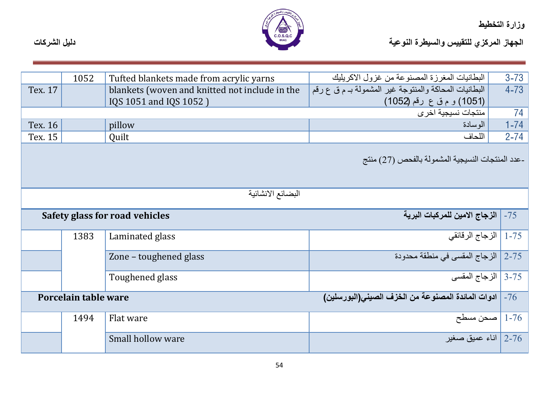

|         | 1052                                                                      | Tufted blankets made from acrylic yarns        | البطانيات المغرزة المصنوعة من غزول الاكريليك          | $3 - 73$ |
|---------|---------------------------------------------------------------------------|------------------------------------------------|-------------------------------------------------------|----------|
| Tex. 17 |                                                                           | blankets (woven and knitted not include in the | البطانيات المحاكة والمنتوجة غير المشمولة بـ م ق ع رقم | $4 - 73$ |
|         |                                                                           | IQS 1051 and IQS 1052)                         | (1051) و م ق ع رقم (1052)                             |          |
|         |                                                                           |                                                | منتجات نسيجية اخرى                                    | 74       |
| Tex. 16 |                                                                           | pillow                                         | الوسادة                                               | $1 - 74$ |
| Tex. 15 |                                                                           | Quilt                                          | اللحاف                                                | $2 - 74$ |
|         |                                                                           |                                                | -عدد المنتجات النسيجية المشمولة بالفحص (27) منتج      |          |
|         |                                                                           | البضائع الانشائية                              |                                                       |          |
|         |                                                                           | Safety glass for road vehicles                 | الزجاج الامين للمركبات البرية                         | $-75$    |
|         | 1383                                                                      | Laminated glass                                | 1-75   الزجاج الرقائقي                                |          |
|         |                                                                           | Zone - toughened glass                         | 2-75   الزجاج المقسى في منطقة محدودة                  |          |
|         |                                                                           | Toughened glass                                | 3-75   الزجاج المقسى                                  |          |
|         | ادوات المائدة المصنوعة من الخزف الصيني(البورسلين)<br>Porcelain table ware |                                                | $-76$                                                 |          |
|         | 1494                                                                      | Flat ware                                      | صحن مسطح $\mid$ 1-76                                  |          |
|         |                                                                           | Small hollow ware                              | اناء عميق صغير $\mid$ 2-76 $\mid$                     |          |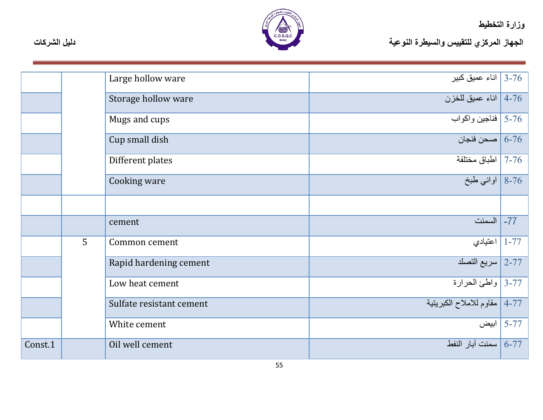

|         |   | Large hollow ware        | اناء عميق كبير $\mid$ 3-76 - 3     |              |
|---------|---|--------------------------|------------------------------------|--------------|
|         |   | Storage hollow ware      | اناء عميق للخزن $\mid$ 4-76 $\mid$ |              |
|         |   | Mugs and cups            | 5-76   فناجين واكواب               |              |
|         |   | Cup small dish           | صحن فنجان $\mid$ 6-76              |              |
|         |   | Different plates         | 7-76   اطباق مختلفة                |              |
|         |   | Cooking ware             | 8-76   اواني طبخ                   |              |
|         |   |                          |                                    |              |
|         |   | cement                   | 77- السمنت                         |              |
|         | 5 | Common cement            | اعتيادي $\mid$ 1-77 $\mid$         |              |
|         |   | Rapid hardening cement   | 2-77 سريع التصلد                   |              |
|         |   | Low heat cement          | 3-77 واطئ الحرارة                  |              |
|         |   | Sulfate resistant cement | 77-4   مقاوم للاملاح الكبريتية     |              |
|         |   | White cement             |                                    | _5-77   ابيض |
| Const.1 |   | Oil well cement          | _6-77   سمنت آبار النفط            |              |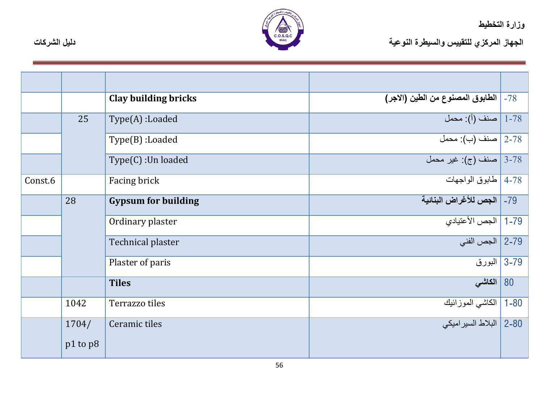

|         |              | Clay building bricks       | 78-   الطابوق المصنوع من الطين (الاجر) |    |
|---------|--------------|----------------------------|----------------------------------------|----|
|         | 25           | $Type(A)$ :Loaded          | 1-78   صنف (أ): محمل                   |    |
|         |              | $Type(B)$ :Loaded          | 2-78 صنف (ب): محمل                     |    |
|         |              | Type(C): Un loaded         | 3-78   صنف (ج): غير محمل               |    |
| Const.6 |              | Facing brick               | 4-78   طابوق الواجهات                  |    |
|         | 28           | <b>Gypsum for building</b> | 79-   الجص للأغراض البنائية            |    |
|         |              | Ordinary plaster           | 79-1   الجص الأعتبادي                  |    |
|         |              | Technical plaster          | 2-79   الجص الفني                      |    |
|         |              | Plaster of paris           | 3-79   البورق                          |    |
|         |              | <b>Tiles</b>               | الكاشى                                 | 80 |
|         | 1042         | Terrazzo tiles             | 80-1   الكاشى الموز ائبك               |    |
|         | 1704/        | Ceramic tiles              | 80-2   البلاط السير اميكي              |    |
|         | $p1$ to $p8$ |                            |                                        |    |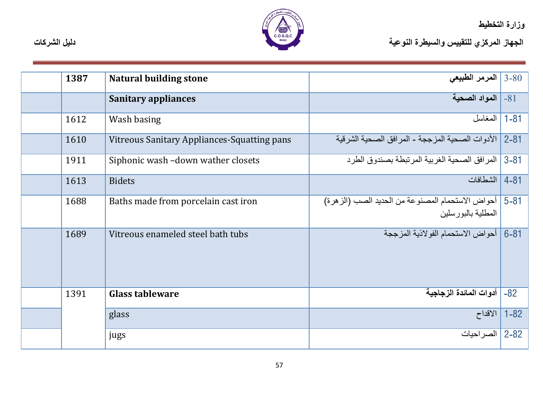

الجهاز المركزي للتقييس والسيطرة النوعية<br>الجهاز المركزي للتقييس والسيطرة النوعية

| 1387 | <b>Natural building stone</b>               | المرمر الطبيعي $\sim 3$ -80 $\,$                                         |            |
|------|---------------------------------------------|--------------------------------------------------------------------------|------------|
|      | <b>Sanitary appliances</b>                  | 81- المواد الصحية                                                        |            |
| 1612 | Wash basing                                 | المغاسل                                                                  | $1 - 81$   |
| 1610 | Vitreous Sanitary Appliances-Squatting pans | الأدوات الصحية المزججة - المرافق الصحية الشرقية                          | $2 - 81$   |
| 1911 | Siphonic wash -down wather closets          | المر افق الصحية الغر بية المر تبطة بصندو ق الطر د                        | $3 - 81$   |
| 1613 | <b>Bidets</b>                               | الشطافات                                                                 | $4 - 81$   |
| 1688 | Baths made from porcelain cast iron         | أحواض الاستحمام المصنوعة من الحديد الصب (الز هرة)<br>المطلية بالبور سلين | $15 - 81$  |
| 1689 | Vitreous enameled steel bath tubs           | أحواض الاستحمام الفولاذية المزججة                                        | $6 - 81$   |
| 1391 | <b>Glass tableware</b>                      | أدوات المائدة الزجاجية                                                   | $-82$      |
|      | glass                                       | الاقداح                                                                  | $1 - 82$   |
|      | jugs                                        | الصر احيات                                                               | $ 2 - 82 $ |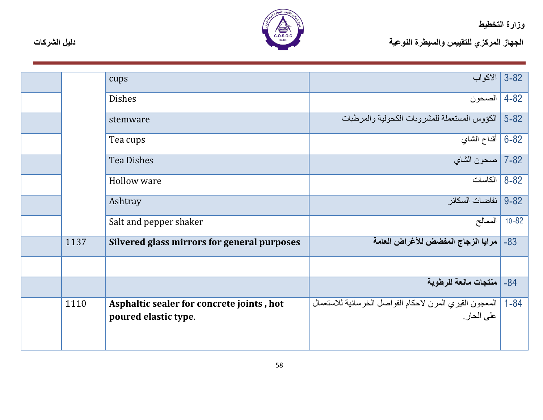

|      | cups                                                              | 82-3   الأكواب                                                         |           |
|------|-------------------------------------------------------------------|------------------------------------------------------------------------|-----------|
|      | <b>Dishes</b>                                                     | 4-82   الصحون                                                          |           |
|      | stemware                                                          | 82-5   الكؤوس المستعملة للمشروبات الكحولية والمرطبات                   |           |
|      | Tea cups                                                          | 6-82   أقداح الشاي                                                     |           |
|      | <b>Tea Dishes</b>                                                 | 82-7   صحون الشاي                                                      |           |
|      | Hollow ware                                                       | 8-82   الكاسات                                                         |           |
|      | Ashtray                                                           | 9-82   نفاضات السكائر                                                  |           |
|      | Salt and pepper shaker                                            | الممالح                                                                | $10 - 82$ |
| 1137 | Silvered glass mirrors for general purposes                       | مرايا الزجاج المفضض للأغراض العامة                                     | $-83$     |
|      |                                                                   |                                                                        |           |
|      |                                                                   | منتجات مانعة للرطوبة                                                   | $-84$     |
| 1110 | Asphaltic sealer for concrete joints, hot<br>poured elastic type. | المعجون القيري المرن لاحكام الفواصل الخرسانية للاستعمال<br>على الحار . | $1 - 84$  |
|      |                                                                   |                                                                        |           |